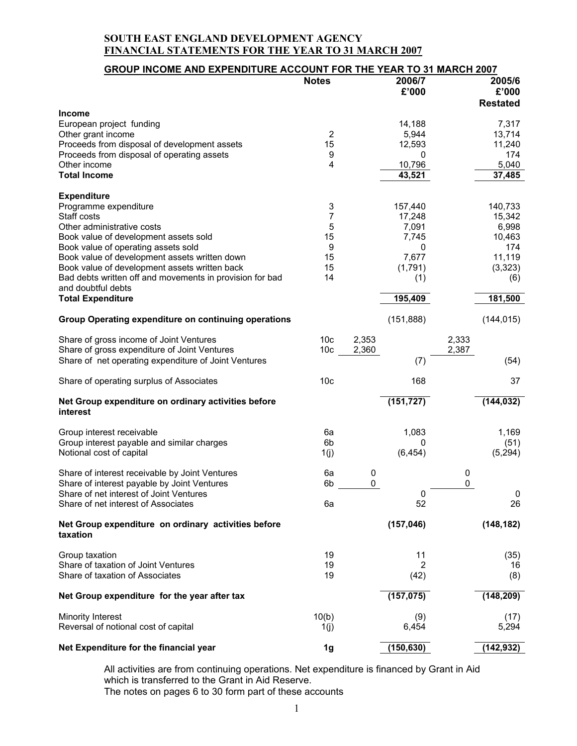| <b>GROUP INCOME AND EXPENDITURE ACCOUNT FOR THE YEAR TO 31 MARCH 2007</b>      |                 |       |                 |       |                 |
|--------------------------------------------------------------------------------|-----------------|-------|-----------------|-------|-----------------|
|                                                                                | <b>Notes</b>    |       | 2006/7<br>£'000 |       | 2005/6<br>£'000 |
| Income                                                                         |                 |       |                 |       | <b>Restated</b> |
| European project funding                                                       | $\overline{2}$  |       | 14,188          |       | 7,317<br>13,714 |
| Other grant income<br>Proceeds from disposal of development assets             | 15              |       | 5,944<br>12,593 |       | 11,240          |
| Proceeds from disposal of operating assets                                     | 9               |       | 0               |       | 174             |
| Other income                                                                   | 4               |       | 10,796          |       | 5,040           |
| <b>Total Income</b>                                                            |                 |       | 43,521          |       | 37,485          |
| <b>Expenditure</b>                                                             |                 |       |                 |       |                 |
| Programme expenditure                                                          | 3               |       | 157,440         |       | 140,733         |
| Staff costs                                                                    | 7               |       | 17,248          |       | 15,342          |
| Other administrative costs                                                     | 5               |       | 7,091           |       | 6,998           |
| Book value of development assets sold                                          | 15              |       | 7,745           |       | 10,463          |
| Book value of operating assets sold                                            | 9               |       | 0               |       | 174             |
| Book value of development assets written down                                  | 15              |       | 7,677           |       | 11,119          |
| Book value of development assets written back                                  | 15              |       | (1,791)         |       | (3,323)         |
| Bad debts written off and movements in provision for bad<br>and doubtful debts | 14              |       | (1)             |       | (6)             |
| <b>Total Expenditure</b>                                                       |                 |       | 195,409         |       | 181,500         |
| <b>Group Operating expenditure on continuing operations</b>                    |                 |       | (151, 888)      |       | (144, 015)      |
| Share of gross income of Joint Ventures                                        | 10 <sub>c</sub> | 2,353 |                 | 2,333 |                 |
| Share of gross expenditure of Joint Ventures                                   | 10 <sub>c</sub> | 2,360 |                 | 2,387 |                 |
| Share of net operating expenditure of Joint Ventures                           |                 |       | (7)             |       | (54)            |
| Share of operating surplus of Associates                                       | 10 <sub>c</sub> |       | 168             |       | 37              |
| Net Group expenditure on ordinary activities before<br>interest                |                 |       | (151, 727)      |       | (144, 032)      |
| Group interest receivable                                                      | 6a              |       | 1,083           |       | 1,169           |
| Group interest payable and similar charges                                     | 6b              |       | 0               |       | (51)            |
| Notional cost of capital                                                       | 1(j)            |       | (6, 454)        |       | (5, 294)        |
| Share of interest receivable by Joint Ventures                                 | 6a              | 0     |                 | 0     |                 |
| Share of interest payable by Joint Ventures                                    | 6b              | 0     |                 | 0     |                 |
| Share of net interest of Joint Ventures                                        |                 |       | 0               |       | 0               |
| Share of net interest of Associates                                            | 6a              |       | 52              |       | 26              |
| Net Group expenditure on ordinary activities before<br>taxation                |                 |       | (157, 046)      |       | (148, 182)      |
| Group taxation                                                                 | 19              |       | 11              |       | (35)            |
| Share of taxation of Joint Ventures                                            | 19              |       | 2               |       | 16              |
| Share of taxation of Associates                                                | 19              |       | (42)            |       | (8)             |
| Net Group expenditure for the year after tax                                   |                 |       | (157, 075)      |       | (148, 209)      |
| Minority Interest                                                              | 10(b)           |       | (9)             |       | (17)            |
| Reversal of notional cost of capital                                           | 1(j)            |       | 6,454           |       | 5,294           |
| Net Expenditure for the financial year                                         | 1g              |       | (150, 630)      |       | (142, 932)      |

All activities are from continuing operations. Net expenditure is financed by Grant in Aid which is transferred to the Grant in Aid Reserve. The notes on pages 6 to 30 form part of these accounts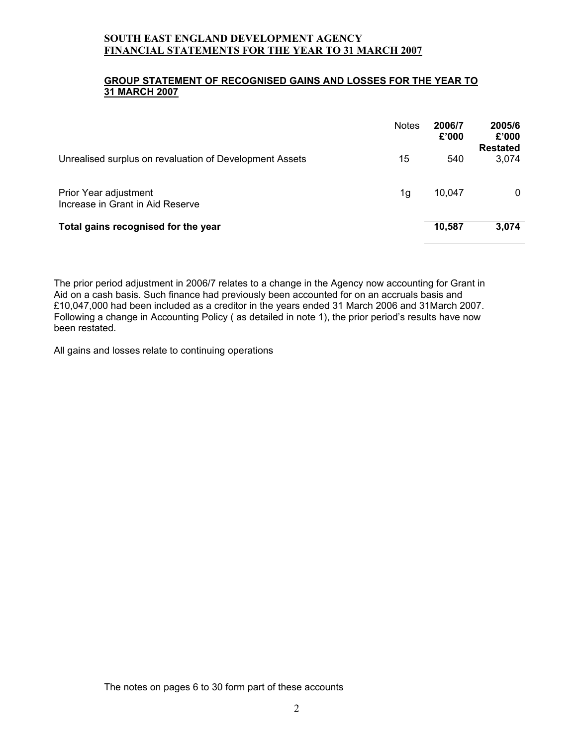#### **GROUP STATEMENT OF RECOGNISED GAINS AND LOSSES FOR THE YEAR TO 31 MARCH 2007**

|                                                           | <b>Notes</b> | 2006/7<br>£'000 | 2005/6<br>£'000<br><b>Restated</b> |
|-----------------------------------------------------------|--------------|-----------------|------------------------------------|
| Unrealised surplus on revaluation of Development Assets   | 15           | 540             | 3,074                              |
| Prior Year adjustment<br>Increase in Grant in Aid Reserve | 1g           | 10,047          | 0                                  |
| Total gains recognised for the year                       |              | 10,587          | 3,074                              |

The prior period adjustment in 2006/7 relates to a change in the Agency now accounting for Grant in Aid on a cash basis. Such finance had previously been accounted for on an accruals basis and £10,047,000 had been included as a creditor in the years ended 31 March 2006 and 31March 2007. Following a change in Accounting Policy ( as detailed in note 1), the prior period's results have now been restated.

All gains and losses relate to continuing operations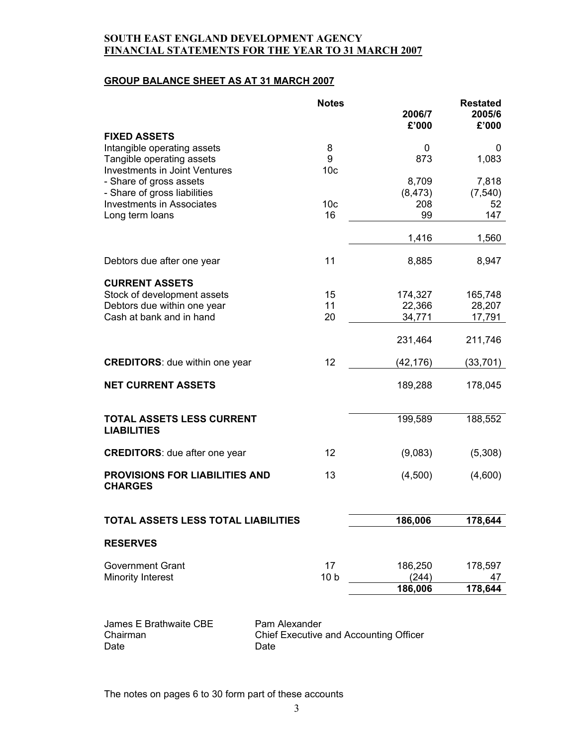### **GROUP BALANCE SHEET AS AT 31 MARCH 2007**

|                                                         | <b>Notes</b>    | 2006/7<br>£'000 | <b>Restated</b><br>2005/6<br>£'000 |
|---------------------------------------------------------|-----------------|-----------------|------------------------------------|
| <b>FIXED ASSETS</b>                                     |                 |                 |                                    |
| Intangible operating assets                             | 8               | 0               | 0                                  |
| Tangible operating assets                               | 9               | 873             | 1,083                              |
| Investments in Joint Ventures                           | 10 <sub>c</sub> |                 |                                    |
| - Share of gross assets                                 |                 | 8,709           | 7,818                              |
| - Share of gross liabilities                            |                 | (8, 473)        | (7, 540)                           |
| <b>Investments in Associates</b>                        | 10 <sub>c</sub> | 208             | 52                                 |
| Long term loans                                         | 16              | 99              | 147                                |
|                                                         |                 | 1,416           | 1,560                              |
|                                                         |                 |                 |                                    |
| Debtors due after one year                              | 11              | 8,885           | 8,947                              |
|                                                         |                 |                 |                                    |
| <b>CURRENT ASSETS</b><br>Stock of development assets    | 15              | 174,327         | 165,748                            |
| Debtors due within one year                             | 11              | 22,366          | 28,207                             |
| Cash at bank and in hand                                | 20              | 34,771          | 17,791                             |
|                                                         |                 |                 |                                    |
|                                                         |                 | 231,464         | 211,746                            |
| <b>CREDITORS:</b> due within one year                   | 12              | (42, 176)       | (33, 701)                          |
| <b>NET CURRENT ASSETS</b>                               |                 | 189,288         | 178,045                            |
| <b>TOTAL ASSETS LESS CURRENT</b>                        |                 | 199,589         | 188,552                            |
| <b>LIABILITIES</b>                                      |                 |                 |                                    |
| <b>CREDITORS:</b> due after one year                    | 12              | (9,083)         | (5,308)                            |
|                                                         |                 |                 |                                    |
| <b>PROVISIONS FOR LIABILITIES AND</b><br><b>CHARGES</b> | 13              | (4,500)         | (4,600)                            |
| TOTAL ASSETS LESS TOTAL LIABILITIES                     |                 | 186,006         | 178,644                            |
| <b>RESERVES</b>                                         |                 |                 |                                    |
|                                                         |                 |                 |                                    |
| <b>Government Grant</b>                                 | 17              | 186,250         | 178,597                            |
| <b>Minority Interest</b>                                | 10 <sub>b</sub> | (244)           | 47                                 |
|                                                         |                 | 186,006         | 178,644                            |
| Pam Alexander<br>James E Brathwaite CBE                 |                 |                 |                                    |

Chairman Chief Executive and Accounting Officer Date Date Date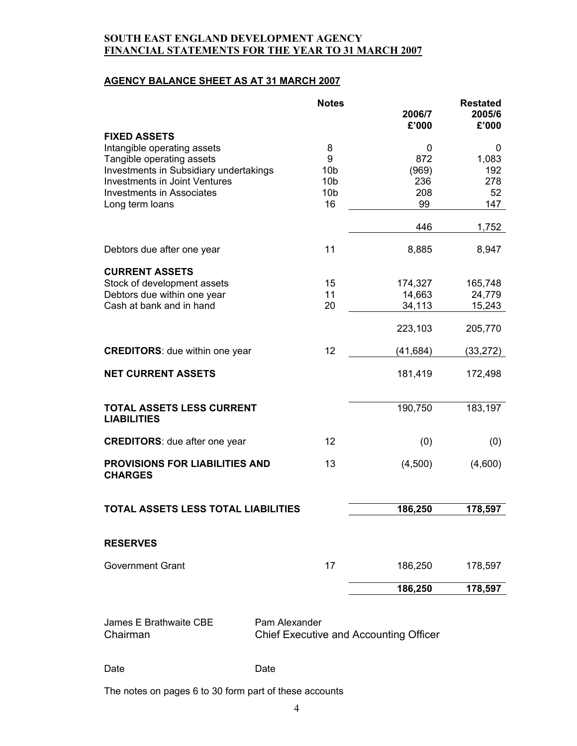## **AGENCY BALANCE SHEET AS AT 31 MARCH 2007**

|                                                         | <b>Notes</b>                                            | 2006/7<br>£'000 | <b>Restated</b><br>2005/6<br>£'000 |
|---------------------------------------------------------|---------------------------------------------------------|-----------------|------------------------------------|
| <b>FIXED ASSETS</b>                                     |                                                         |                 |                                    |
| Intangible operating assets                             | 8                                                       | 0               | 0                                  |
| Tangible operating assets                               | 9                                                       | 872             | 1,083                              |
| Investments in Subsidiary undertakings                  | 10 <sub>b</sub>                                         | (969)           | 192                                |
| <b>Investments in Joint Ventures</b>                    | 10 <sub>b</sub>                                         | 236             | 278                                |
| <b>Investments in Associates</b>                        | 10 <sub>b</sub>                                         | 208             | 52                                 |
| Long term loans                                         | 16                                                      | 99              | 147                                |
|                                                         |                                                         | 446             | 1,752                              |
| Debtors due after one year                              | 11                                                      | 8,885           | 8,947                              |
| <b>CURRENT ASSETS</b>                                   |                                                         |                 |                                    |
| Stock of development assets                             | 15                                                      | 174,327         | 165,748                            |
| Debtors due within one year                             | 11                                                      | 14,663          | 24,779                             |
| Cash at bank and in hand                                | 20                                                      | 34,113          | 15,243                             |
|                                                         |                                                         |                 |                                    |
|                                                         |                                                         | 223,103         | 205,770                            |
| <b>CREDITORS:</b> due within one year                   | 12                                                      | (41, 684)       | (33, 272)                          |
| <b>NET CURRENT ASSETS</b>                               |                                                         | 181,419         | 172,498                            |
| <b>TOTAL ASSETS LESS CURRENT</b><br><b>LIABILITIES</b>  |                                                         | 190,750         | 183,197                            |
| <b>CREDITORS:</b> due after one year                    | 12                                                      | (0)             | (0)                                |
| <b>PROVISIONS FOR LIABILITIES AND</b><br><b>CHARGES</b> | 13                                                      | (4,500)         | (4,600)                            |
| <b>TOTAL ASSETS LESS TOTAL LIABILITIES</b>              |                                                         | 186,250         | 178,597                            |
|                                                         |                                                         |                 |                                    |
| <b>RESERVES</b>                                         |                                                         |                 |                                    |
| <b>Government Grant</b>                                 | 17                                                      | 186,250         | 178,597                            |
|                                                         |                                                         | 186,250         | 178,597                            |
| James E Brathwaite CBE<br>Chairman                      | Pam Alexander<br>Chief Executive and Accounting Officer |                 |                                    |
|                                                         |                                                         |                 |                                    |

Date Date Date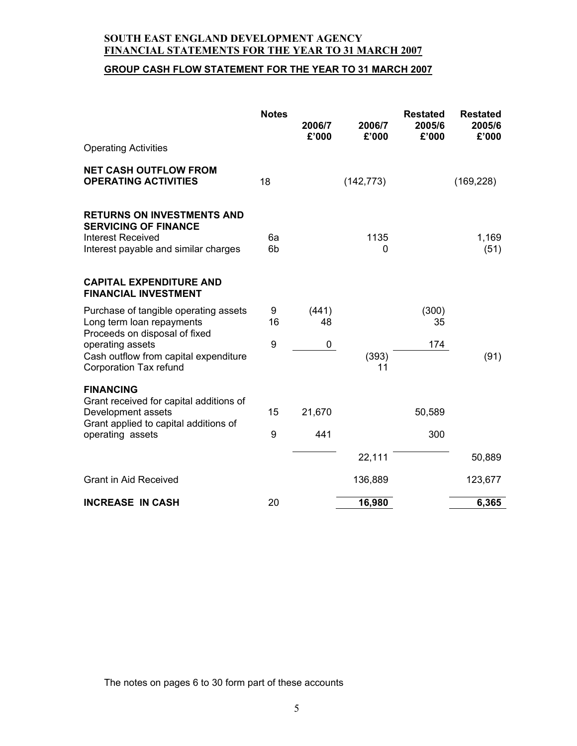# **GROUP CASH FLOW STATEMENT FOR THE YEAR TO 31 MARCH 2007**

|                                                                                                                               | <b>Notes</b>         | 2006/7<br>£'000 | 2006/7<br>£'000 | <b>Restated</b><br>2005/6<br>£'000 | <b>Restated</b><br>2005/6<br>£'000 |
|-------------------------------------------------------------------------------------------------------------------------------|----------------------|-----------------|-----------------|------------------------------------|------------------------------------|
| <b>Operating Activities</b>                                                                                                   |                      |                 |                 |                                    |                                    |
| <b>NET CASH OUTFLOW FROM</b><br><b>OPERATING ACTIVITIES</b>                                                                   | 18                   |                 | (142, 773)      |                                    | (169, 228)                         |
| <b>RETURNS ON INVESTMENTS AND</b><br><b>SERVICING OF FINANCE</b><br>Interest Received<br>Interest payable and similar charges | 6a<br>6 <sub>b</sub> |                 | 1135<br>0       |                                    | 1,169<br>(51)                      |
| <b>CAPITAL EXPENDITURE AND</b><br><b>FINANCIAL INVESTMENT</b>                                                                 |                      |                 |                 |                                    |                                    |
| Purchase of tangible operating assets<br>Long term loan repayments                                                            | 9<br>16              | (441)<br>48     |                 | (300)<br>35                        |                                    |
| Proceeds on disposal of fixed<br>operating assets<br>Cash outflow from capital expenditure<br>Corporation Tax refund          | 9                    | 0               | (393)<br>11     | 174                                | (91)                               |
| <b>FINANCING</b><br>Grant received for capital additions of<br>Development assets                                             | 15                   | 21,670          |                 | 50,589                             |                                    |
| Grant applied to capital additions of<br>operating assets                                                                     | 9                    | 441             |                 | 300                                |                                    |
|                                                                                                                               |                      |                 | 22,111          |                                    | 50,889                             |
| <b>Grant in Aid Received</b>                                                                                                  |                      |                 | 136,889         |                                    | 123,677                            |
| <b>INCREASE IN CASH</b>                                                                                                       | 20                   |                 | 16,980          |                                    | 6,365                              |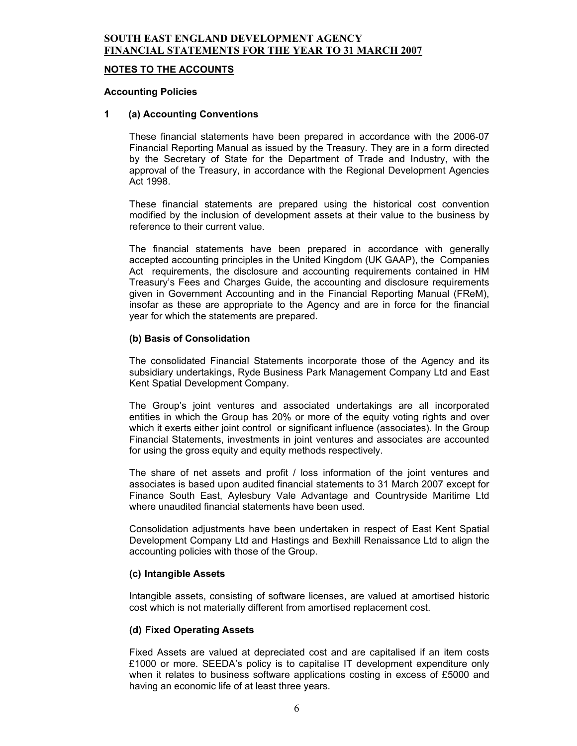#### **NOTES TO THE ACCOUNTS**

#### **Accounting Policies**

#### **1 (a) Accounting Conventions**

These financial statements have been prepared in accordance with the 2006-07 Financial Reporting Manual as issued by the Treasury. They are in a form directed by the Secretary of State for the Department of Trade and Industry, with the approval of the Treasury, in accordance with the Regional Development Agencies Act 1998.

These financial statements are prepared using the historical cost convention modified by the inclusion of development assets at their value to the business by reference to their current value.

The financial statements have been prepared in accordance with generally accepted accounting principles in the United Kingdom (UK GAAP), the Companies Act requirements, the disclosure and accounting requirements contained in HM Treasury's Fees and Charges Guide, the accounting and disclosure requirements given in Government Accounting and in the Financial Reporting Manual (FReM), insofar as these are appropriate to the Agency and are in force for the financial year for which the statements are prepared.

#### **(b) Basis of Consolidation**

The consolidated Financial Statements incorporate those of the Agency and its subsidiary undertakings, Ryde Business Park Management Company Ltd and East Kent Spatial Development Company.

The Group's joint ventures and associated undertakings are all incorporated entities in which the Group has 20% or more of the equity voting rights and over which it exerts either joint control or significant influence (associates). In the Group Financial Statements, investments in joint ventures and associates are accounted for using the gross equity and equity methods respectively.

The share of net assets and profit / loss information of the joint ventures and associates is based upon audited financial statements to 31 March 2007 except for Finance South East, Aylesbury Vale Advantage and Countryside Maritime Ltd where unaudited financial statements have been used.

Consolidation adjustments have been undertaken in respect of East Kent Spatial Development Company Ltd and Hastings and Bexhill Renaissance Ltd to align the accounting policies with those of the Group.

#### **(c) Intangible Assets**

Intangible assets, consisting of software licenses, are valued at amortised historic cost which is not materially different from amortised replacement cost.

#### **(d) Fixed Operating Assets**

Fixed Assets are valued at depreciated cost and are capitalised if an item costs £1000 or more. SEEDA's policy is to capitalise IT development expenditure only when it relates to business software applications costing in excess of £5000 and having an economic life of at least three years.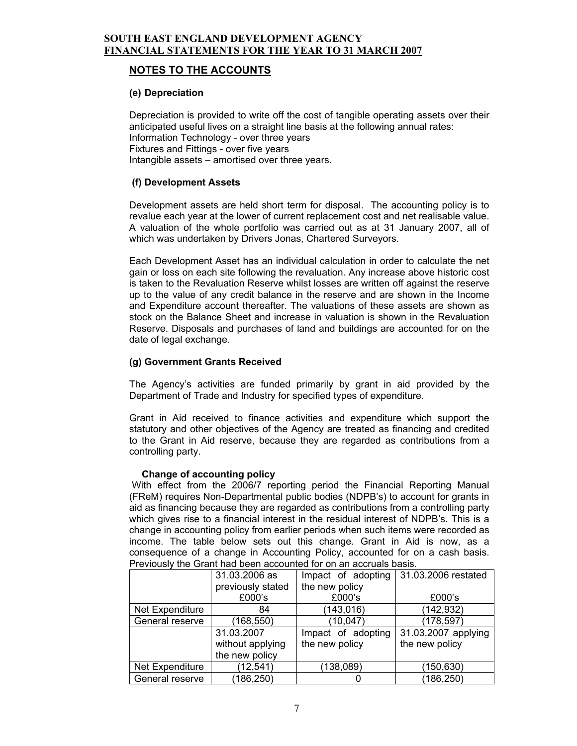# **NOTES TO THE ACCOUNTS**

# **(e) Depreciation**

Depreciation is provided to write off the cost of tangible operating assets over their anticipated useful lives on a straight line basis at the following annual rates: Information Technology - over three years Fixtures and Fittings - over five years Intangible assets – amortised over three years.

# **(f) Development Assets**

Development assets are held short term for disposal. The accounting policy is to revalue each year at the lower of current replacement cost and net realisable value. A valuation of the whole portfolio was carried out as at 31 January 2007, all of which was undertaken by Drivers Jonas, Chartered Surveyors.

Each Development Asset has an individual calculation in order to calculate the net gain or loss on each site following the revaluation. Any increase above historic cost is taken to the Revaluation Reserve whilst losses are written off against the reserve up to the value of any credit balance in the reserve and are shown in the Income and Expenditure account thereafter. The valuations of these assets are shown as stock on the Balance Sheet and increase in valuation is shown in the Revaluation Reserve. Disposals and purchases of land and buildings are accounted for on the date of legal exchange.

# **(g) Government Grants Received**

The Agency's activities are funded primarily by grant in aid provided by the Department of Trade and Industry for specified types of expenditure.

Grant in Aid received to finance activities and expenditure which support the statutory and other objectives of the Agency are treated as financing and credited to the Grant in Aid reserve, because they are regarded as contributions from a controlling party.

#### **Change of accounting policy**

 With effect from the 2006/7 reporting period the Financial Reporting Manual (FReM) requires Non-Departmental public bodies (NDPB's) to account for grants in aid as financing because they are regarded as contributions from a controlling party which gives rise to a financial interest in the residual interest of NDPB's. This is a change in accounting policy from earlier periods when such items were recorded as income. The table below sets out this change. Grant in Aid is now, as a consequence of a change in Accounting Policy, accounted for on a cash basis. Previously the Grant had been accounted for on an accruals basis.

|                 | 31.03.2006 as     | Impact of adopting | 31.03.2006 restated |
|-----------------|-------------------|--------------------|---------------------|
|                 | previously stated | the new policy     |                     |
|                 | £000's            | £000's             | £000's              |
| Net Expenditure | 84                | (143, 016)         | (142, 932)          |
| General reserve | (168, 550)        | (10, 047)          | (178, 597)          |
|                 | 31.03.2007        | Impact of adopting | 31.03.2007 applying |
|                 | without applying  | the new policy     | the new policy      |
|                 | the new policy    |                    |                     |
| Net Expenditure | (12,541)          | (138, 089)         | (150, 630)          |
| General reserve | (186, 250)        |                    | (186, 250)          |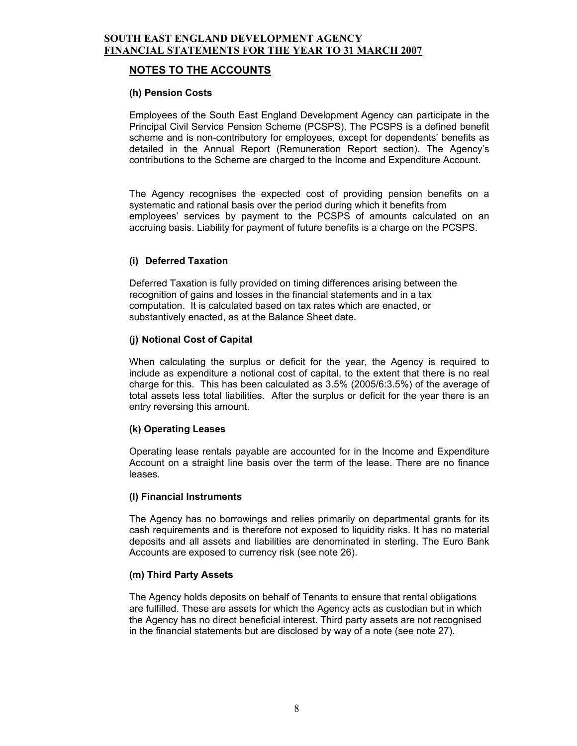# **NOTES TO THE ACCOUNTS**

### **(h)Pension Costs**

Employees of the South East England Development Agency can participate in the Principal Civil Service Pension Scheme (PCSPS). The PCSPS is a defined benefit scheme and is non-contributory for employees, except for dependents' benefits as detailed in the Annual Report (Remuneration Report section). The Agency's contributions to the Scheme are charged to the Income and Expenditure Account.

The Agency recognises the expected cost of providing pension benefits on a systematic and rational basis over the period during which it benefits from employees' services by payment to the PCSPS of amounts calculated on an accruing basis. Liability for payment of future benefits is a charge on the PCSPS.

# **(i) Deferred Taxation**

Deferred Taxation is fully provided on timing differences arising between the recognition of gains and losses in the financial statements and in a tax computation. It is calculated based on tax rates which are enacted, or substantively enacted, as at the Balance Sheet date.

# **(j) Notional Cost of Capital**

When calculating the surplus or deficit for the year, the Agency is required to include as expenditure a notional cost of capital, to the extent that there is no real charge for this. This has been calculated as 3.5% (2005/6:3.5%) of the average of total assets less total liabilities. After the surplus or deficit for the year there is an entry reversing this amount.

#### **(k) Operating Leases**

Operating lease rentals payable are accounted for in the Income and Expenditure Account on a straight line basis over the term of the lease. There are no finance leases.

#### **(l) Financial Instruments**

The Agency has no borrowings and relies primarily on departmental grants for its cash requirements and is therefore not exposed to liquidity risks. It has no material deposits and all assets and liabilities are denominated in sterling. The Euro Bank Accounts are exposed to currency risk (see note 26).

#### **(m) Third Party Assets**

The Agency holds deposits on behalf of Tenants to ensure that rental obligations are fulfilled. These are assets for which the Agency acts as custodian but in which the Agency has no direct beneficial interest. Third party assets are not recognised in the financial statements but are disclosed by way of a note (see note 27).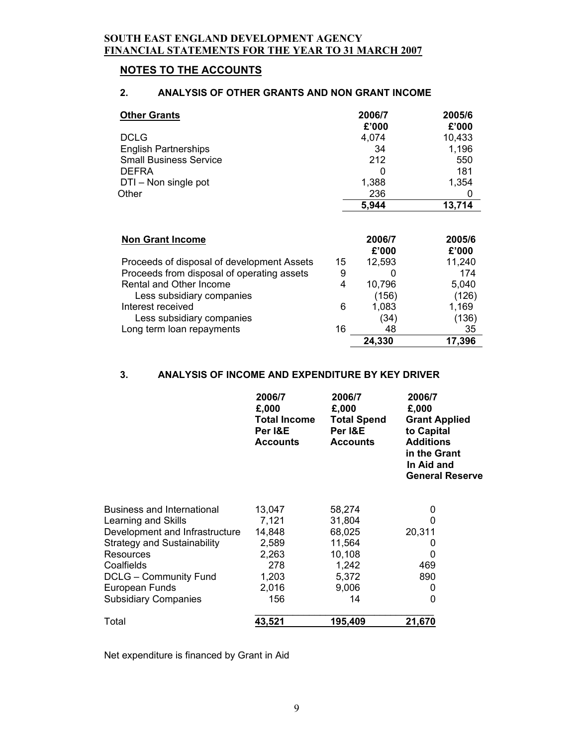# **NOTES TO THE ACCOUNTS**

# **2. ANALYSIS OF OTHER GRANTS AND NON GRANT INCOME**

| <b>Other Grants</b>                        |    | 2006/7<br>£'000 | 2005/6<br>£'000 |
|--------------------------------------------|----|-----------------|-----------------|
| <b>DCLG</b>                                |    | 4,074           | 10,433          |
| <b>English Partnerships</b>                |    | 34              | 1,196           |
| <b>Small Business Service</b>              |    | 212             | 550             |
| <b>DEFRA</b>                               |    | ი               | 181             |
| DTI - Non single pot                       |    | 1,388           | 1,354           |
| Other                                      |    | 236             | 0               |
|                                            |    | 5,944           | 13,714          |
|                                            |    |                 |                 |
| <b>Non Grant Income</b>                    |    | 2006/7          | 2005/6          |
|                                            |    | £'000           | £'000           |
| Proceeds of disposal of development Assets | 15 | 12,593          | 11,240          |
| Proceeds from disposal of operating assets | 9  | 0               | 174             |
| Rental and Other Income                    | 4  | 10,796          | 5,040           |
| Less subsidiary companies                  |    | (156)           | (126)           |
| Interest received                          | 6  | 1,083           | 1,169           |
| Less subsidiary companies                  |    | (34)            | (136)           |
| Long term loan repayments                  | 16 | 48              | 35              |
|                                            |    | 24,330          | 17,396          |

# **3. ANALYSIS OF INCOME AND EXPENDITURE BY KEY DRIVER**

|                                    | 2006/7<br>£,000<br><b>Total Income</b><br>Per I&E<br><b>Accounts</b> | 2006/7<br>£,000<br><b>Total Spend</b><br>Per I&E<br><b>Accounts</b> | 2006/7<br>£,000<br><b>Grant Applied</b><br>to Capital<br><b>Additions</b><br>in the Grant<br>In Aid and<br><b>General Reserve</b> |
|------------------------------------|----------------------------------------------------------------------|---------------------------------------------------------------------|-----------------------------------------------------------------------------------------------------------------------------------|
| <b>Business and International</b>  | 13,047                                                               | 58,274                                                              | 0                                                                                                                                 |
| Learning and Skills                | 7,121                                                                | 31,804                                                              | 0                                                                                                                                 |
| Development and Infrastructure     | 14,848                                                               | 68,025                                                              | 20,311                                                                                                                            |
| <b>Strategy and Sustainability</b> | 2,589                                                                | 11,564                                                              | O                                                                                                                                 |
| Resources                          | 2,263                                                                | 10,108                                                              | 0                                                                                                                                 |
| Coalfields                         | 278                                                                  | 1,242                                                               | 469                                                                                                                               |
| <b>DCLG - Community Fund</b>       | 1,203                                                                | 5,372                                                               | 890                                                                                                                               |
| European Funds                     | 2,016                                                                | 9,006                                                               | 0                                                                                                                                 |
| <b>Subsidiary Companies</b>        | 156                                                                  | 14                                                                  | 0                                                                                                                                 |
| Total                              | 43,521                                                               | 195,409                                                             | 21,670                                                                                                                            |

Net expenditure is financed by Grant in Aid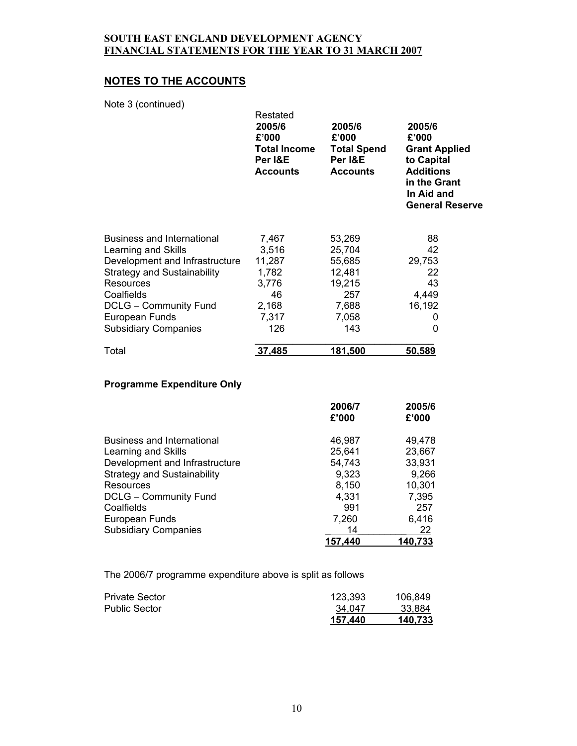# **NOTES TO THE ACCOUNTS**

Note 3 (continued)

| 11010001001111110001               | Restated<br>2005/6<br>£'000<br><b>Total Income</b><br>Per I&E<br><b>Accounts</b> | 2005/6<br>£'000<br><b>Total Spend</b><br>Per I&E<br><b>Accounts</b> | 2005/6<br>£'000<br><b>Grant Applied</b><br>to Capital<br><b>Additions</b><br>in the Grant<br>In Aid and<br><b>General Reserve</b> |
|------------------------------------|----------------------------------------------------------------------------------|---------------------------------------------------------------------|-----------------------------------------------------------------------------------------------------------------------------------|
| <b>Business and International</b>  | 7,467                                                                            | 53,269                                                              | 88                                                                                                                                |
| Learning and Skills                | 3,516                                                                            | 25,704                                                              | 42                                                                                                                                |
| Development and Infrastructure     | 11,287                                                                           | 55,685                                                              | 29,753                                                                                                                            |
| <b>Strategy and Sustainability</b> | 1,782                                                                            | 12,481                                                              | 22                                                                                                                                |
| Resources                          | 3,776                                                                            | 19,215                                                              | 43                                                                                                                                |
| Coalfields                         | 46                                                                               | 257                                                                 | 4,449                                                                                                                             |
| <b>DCLG - Community Fund</b>       | 2,168                                                                            | 7,688                                                               | 16,192                                                                                                                            |
| European Funds                     | 7,317                                                                            | 7,058                                                               | 0                                                                                                                                 |
| <b>Subsidiary Companies</b>        | 126                                                                              | 143                                                                 | 0                                                                                                                                 |
| Total                              | 37,485                                                                           | 181,500                                                             | 50,589                                                                                                                            |

# **Programme Expenditure Only**

|                                    | 2006/7<br>£'000 | 2005/6<br>£'000 |
|------------------------------------|-----------------|-----------------|
| Business and International         | 46,987          | 49,478          |
| Learning and Skills                | 25,641          | 23,667          |
| Development and Infrastructure     | 54,743          | 33,931          |
| <b>Strategy and Sustainability</b> | 9,323           | 9,266           |
| Resources                          | 8,150           | 10,301          |
| <b>DCLG - Community Fund</b>       | 4,331           | 7,395           |
| Coalfields                         | 991             | 257             |
| European Funds                     | 7,260           | 6,416           |
| <b>Subsidiary Companies</b>        | 14              | 22              |
|                                    | 157.440         | 140,733         |

The 2006/7 programme expenditure above is split as follows

| <b>Private Sector</b> | 123.393 | 106.849 |
|-----------------------|---------|---------|
| <b>Public Sector</b>  | 34.047  | 33.884  |
|                       | 157.440 | 140,733 |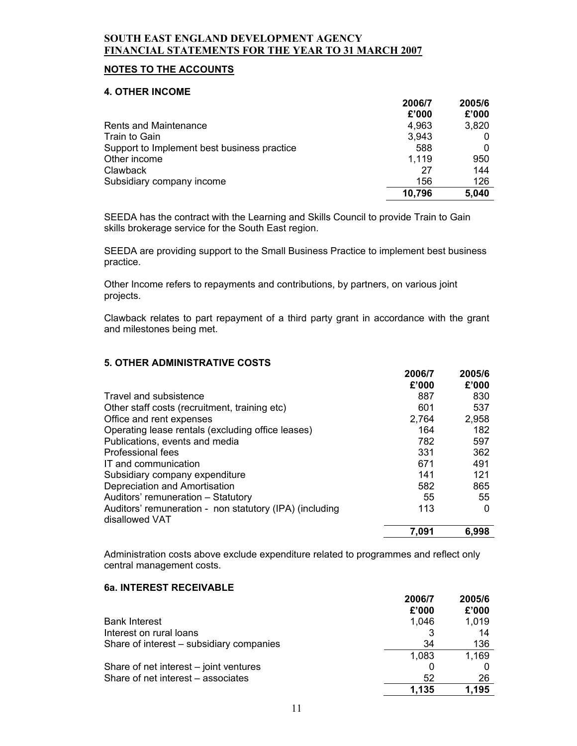# **NOTES TO THE ACCOUNTS**

#### **4. OTHER INCOME**

|                                             | 2006/7 | 2005/6 |
|---------------------------------------------|--------|--------|
|                                             | £'000  | £'000  |
| <b>Rents and Maintenance</b>                | 4,963  | 3,820  |
| Train to Gain                               | 3,943  |        |
| Support to Implement best business practice | 588    |        |
| Other income                                | 1.119  | 950    |
| Clawback                                    | 27     | 144    |
| Subsidiary company income                   | 156    | 126    |
|                                             | 10,796 | 5,040  |

SEEDA has the contract with the Learning and Skills Council to provide Train to Gain skills brokerage service for the South East region.

SEEDA are providing support to the Small Business Practice to implement best business practice.

Other Income refers to repayments and contributions, by partners, on various joint projects.

Clawback relates to part repayment of a third party grant in accordance with the grant and milestones being met.

#### **5. OTHER ADMINISTRATIVE COSTS**

|                                                                           | 2006/7<br>£'000 | 2005/6<br>£'000 |
|---------------------------------------------------------------------------|-----------------|-----------------|
| Travel and subsistence                                                    | 887             | 830             |
| Other staff costs (recruitment, training etc)                             | 601             | 537             |
| Office and rent expenses                                                  | 2,764           | 2,958           |
| Operating lease rentals (excluding office leases)                         | 164             | 182             |
| Publications, events and media                                            | 782             | 597             |
| Professional fees                                                         | 331             | 362             |
| IT and communication                                                      | 671             | 491             |
| Subsidiary company expenditure                                            | 141             | 121             |
| Depreciation and Amortisation                                             | 582             | 865             |
| Auditors' remuneration - Statutory                                        | 55              | 55              |
| Auditors' remuneration - non statutory (IPA) (including<br>disallowed VAT | 113             | 0               |
|                                                                           | 7,091           | 6,998           |

Administration costs above exclude expenditure related to programmes and reflect only central management costs.

#### **6a. INTEREST RECEIVABLE**

|                                          | 2006/7 | 2005/6 |
|------------------------------------------|--------|--------|
|                                          | £'000  | £'000  |
| <b>Bank Interest</b>                     | 1.046  | 1,019  |
| Interest on rural loans                  |        | 14     |
| Share of interest - subsidiary companies | 34     | 136    |
|                                          | 1,083  | 1,169  |
| Share of net interest – joint ventures   | 0      |        |
| Share of net interest – associates       | 52     | 26     |
|                                          | 1,135  | 1.195  |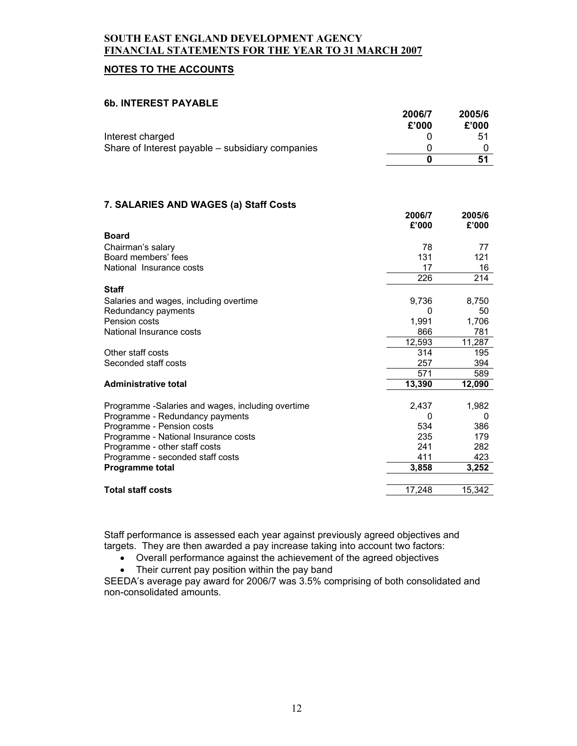# **NOTES TO THE ACCOUNTS**

#### **6b. INTEREST PAYABLE**

|                                                   | 2006/7      | 2005/6 |
|---------------------------------------------------|-------------|--------|
|                                                   | £'000       | £'000  |
| Interest charged                                  | $\Omega$    | 51     |
| Share of Interest payable - subsidiary companies  | 0           | 0      |
|                                                   | $\mathbf 0$ | 51     |
|                                                   |             |        |
| 7. SALARIES AND WAGES (a) Staff Costs             |             |        |
|                                                   | 2006/7      | 2005/6 |
|                                                   | £'000       | £'000  |
| <b>Board</b>                                      |             |        |
| Chairman's salary                                 | 78          | 77     |
| Board members' fees                               | 131         | 121    |
| National Insurance costs                          | 17          | 16     |
|                                                   | 226         | 214    |
| <b>Staff</b>                                      |             |        |
| Salaries and wages, including overtime            | 9,736       | 8,750  |
| Redundancy payments                               | 0           | 50     |
| Pension costs                                     | 1,991       | 1,706  |
| National Insurance costs                          | 866         | 781    |
|                                                   | 12,593      | 11,287 |
| Other staff costs                                 | 314         | 195    |
| Seconded staff costs                              | 257         | 394    |
|                                                   | 571         | 589    |
| <b>Administrative total</b>                       | 13,390      | 12,090 |
|                                                   |             |        |
| Programme -Salaries and wages, including overtime | 2,437       | 1,982  |
| Programme - Redundancy payments                   | 0           | 0      |
| Programme - Pension costs                         | 534         | 386    |
| Programme - National Insurance costs              | 235         | 179    |
| Programme - other staff costs                     | 241         | 282    |
| Programme - seconded staff costs                  | 411         | 423    |
| Programme total                                   | 3,858       | 3,252  |
| <b>Total staff costs</b>                          | 17,248      | 15,342 |
|                                                   |             |        |

Staff performance is assessed each year against previously agreed objectives and targets. They are then awarded a pay increase taking into account two factors:

• Overall performance against the achievement of the agreed objectives

• Their current pay position within the pay band

SEEDA's average pay award for 2006/7 was 3.5% comprising of both consolidated and non-consolidated amounts.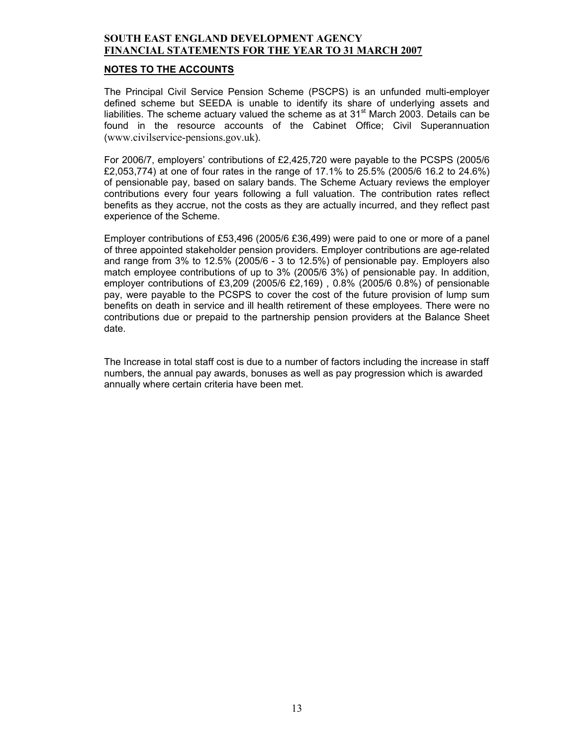#### **NOTES TO THE ACCOUNTS**

The Principal Civil Service Pension Scheme (PSCPS) is an unfunded multi-employer defined scheme but SEEDA is unable to identify its share of underlying assets and liabilities. The scheme actuary valued the scheme as at  $31<sup>st</sup>$  March 2003. Details can be found in the resource accounts of the Cabinet Office; Civil Superannuation (www.civilservice-pensions.gov.uk).

For 2006/7, employers' contributions of £2,425,720 were payable to the PCSPS (2005/6 £2,053,774) at one of four rates in the range of 17.1% to 25.5% (2005/6 16.2 to 24.6%) of pensionable pay, based on salary bands. The Scheme Actuary reviews the employer contributions every four years following a full valuation. The contribution rates reflect benefits as they accrue, not the costs as they are actually incurred, and they reflect past experience of the Scheme.

Employer contributions of £53,496 (2005/6 £36,499) were paid to one or more of a panel of three appointed stakeholder pension providers. Employer contributions are age-related and range from 3% to 12.5% (2005/6 - 3 to 12.5%) of pensionable pay. Employers also match employee contributions of up to 3% (2005/6 3%) of pensionable pay. In addition, employer contributions of £3,209 (2005/6 £2,169) , 0.8% (2005/6 0.8%) of pensionable pay, were payable to the PCSPS to cover the cost of the future provision of lump sum benefits on death in service and ill health retirement of these employees. There were no contributions due or prepaid to the partnership pension providers at the Balance Sheet date.

The Increase in total staff cost is due to a number of factors including the increase in staff numbers, the annual pay awards, bonuses as well as pay progression which is awarded annually where certain criteria have been met.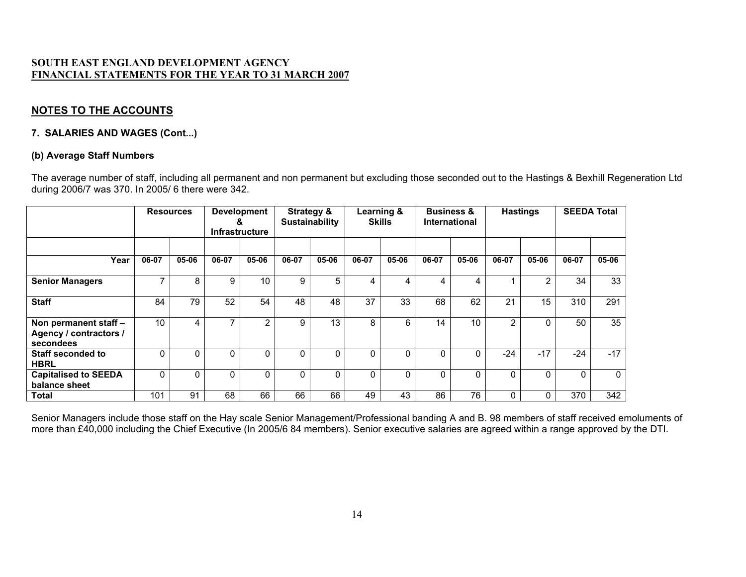# **NOTES TO THE ACCOUNTS**

## **7. SALARIES AND WAGES (Cont...)**

#### **(b) Average Staff Numbers**

The average number of staff, including all permanent and non permanent but excluding those seconded out to the Hastings & Bexhill Regeneration Ltd during 2006/7 was 370. In 2005/ 6 there were 342.

|                                                              |       | <b>Resources</b> | α              | <b>Development</b><br><b>Infrastructure</b> |       | <b>Strategy &amp;</b><br><b>Sustainability</b> | Learning & | <b>Skills</b> | <b>Business &amp;</b> | International | <b>Hastings</b> |       | <b>SEEDA Total</b> |          |
|--------------------------------------------------------------|-------|------------------|----------------|---------------------------------------------|-------|------------------------------------------------|------------|---------------|-----------------------|---------------|-----------------|-------|--------------------|----------|
|                                                              |       |                  |                |                                             |       |                                                |            |               |                       |               |                 |       |                    |          |
| Year                                                         | 06-07 | 05-06            | 06-07          | 05-06                                       | 06-07 | 05-06                                          | 06-07      | 05-06         | 06-07                 | 05-06         | 06-07           | 05-06 | 06-07              | 05-06    |
| <b>Senior Managers</b>                                       | ⇁     | 8                | 9              | 10                                          | 9     | 5                                              | 4          | 4             | 4                     | 4             |                 | 2     | 34                 | 33       |
| <b>Staff</b>                                                 | 84    | 79               | 52             | 54                                          | 48    | 48                                             | 37         | 33            | 68                    | 62            | 21              | 15    | 310                | 291      |
| Non permanent staff -<br>Agency / contractors /<br>secondees | 10    | 4                | $\overline{ }$ | 2                                           | 9     | 13                                             | 8          | 6             | 14                    | 10            | $\overline{2}$  |       | 50                 | 35       |
| <b>Staff seconded to</b><br><b>HBRL</b>                      | O     | 0                | 0              |                                             | 0     | 0                                              | 0          | 0             | 0                     | 0             | $-24$           | $-17$ | $-24$              | $-17$    |
| <b>Capitalised to SEEDA</b><br>balance sheet                 | O     | 0                | 0              | 0                                           | 0     | $\Omega$                                       | 0          | 0             | 0                     | 0             | 0               |       | $\Omega$           | $\Omega$ |
| <b>Total</b>                                                 | 101   | 91               | 68             | 66                                          | 66    | 66                                             | 49         | 43            | 86                    | 76            | 0               |       | 370                | 342      |

Senior Managers include those staff on the Hay scale Senior Management/Professional banding A and B. 98 members of staff received emoluments of more than £40,000 including the Chief Executive (In 2005/6 84 members). Senior executive salaries are agreed within a range approved by the DTI.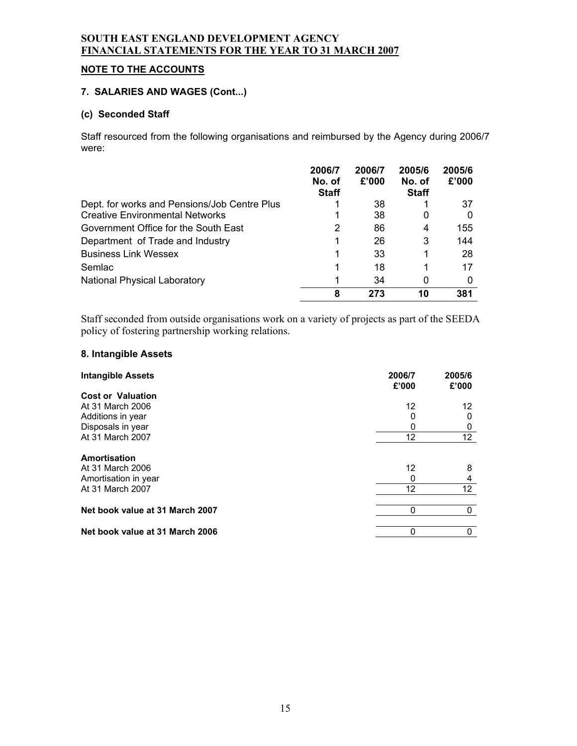# **NOTE TO THE ACCOUNTS**

### **7. SALARIES AND WAGES (Cont...)**

## **(c) Seconded Staff**

Staff resourced from the following organisations and reimbursed by the Agency during 2006/7 were:

|                                              | 2006/7<br>No. of<br><b>Staff</b> | 2006/7<br>£'000 | 2005/6<br>No. of<br><b>Staff</b> | 2005/6<br>£'000 |
|----------------------------------------------|----------------------------------|-----------------|----------------------------------|-----------------|
| Dept. for works and Pensions/Job Centre Plus |                                  | 38              |                                  | 37              |
| <b>Creative Environmental Networks</b>       |                                  | 38              | 0                                |                 |
| Government Office for the South East         | 2                                | 86              | 4                                | 155             |
| Department of Trade and Industry             | 1                                | 26              | 3                                | 144             |
| <b>Business Link Wessex</b>                  | 1                                | 33              |                                  | 28              |
| Semlac                                       | 1                                | 18              |                                  | 17              |
| <b>National Physical Laboratory</b>          |                                  | 34              | 0                                |                 |
|                                              | 8                                | 273             | 10                               | 381             |

Staff seconded from outside organisations work on a variety of projects as part of the SEEDA policy of fostering partnership working relations.

#### **8. Intangible Assets**

| <b>Intangible Assets</b>        | 2006/7<br>£'000 | 2005/6<br>£'000   |
|---------------------------------|-----------------|-------------------|
| <b>Cost or Valuation</b>        |                 |                   |
| At 31 March 2006                | 12              | 12                |
| Additions in year               | 0               | 0                 |
| Disposals in year               | 0               | 0                 |
| At 31 March 2007                | 12              | 12                |
| Amortisation                    |                 |                   |
| At 31 March 2006                | 12              | 8                 |
| Amortisation in year            | 0               | 4                 |
| At 31 March 2007                | 12              | $12 \overline{ }$ |
| Net book value at 31 March 2007 | 0               | 0                 |
| Net book value at 31 March 2006 | 0               | 0                 |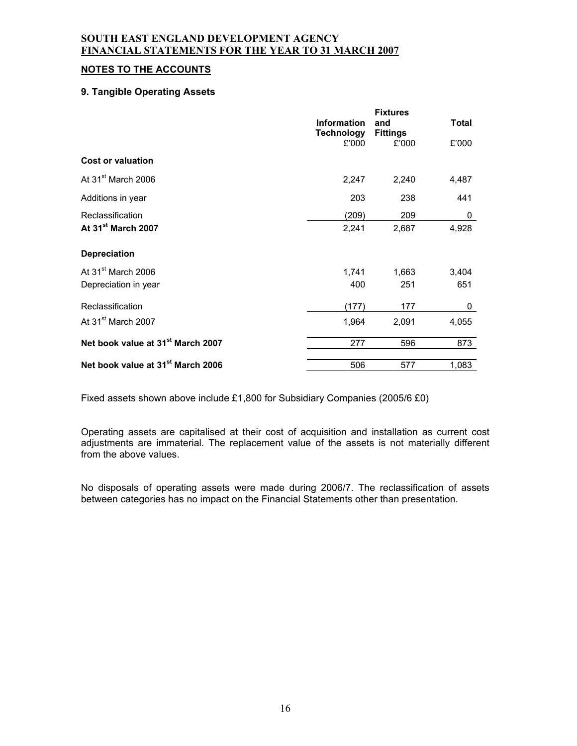## **NOTES TO THE ACCOUNTS**

#### **9. Tangible Operating Assets**

|                                               | <b>Information</b><br><b>Technology</b> | <b>Fixtures</b><br>and<br><b>Fittings</b> | <b>Total</b> |
|-----------------------------------------------|-----------------------------------------|-------------------------------------------|--------------|
| <b>Cost or valuation</b>                      | £'000                                   | £'000                                     | £'000        |
|                                               |                                         |                                           |              |
| At 31 <sup>st</sup> March 2006                | 2,247                                   | 2,240                                     | 4,487        |
| Additions in year                             | 203                                     | 238                                       | 441          |
| Reclassification                              | (209)                                   | 209                                       | 0            |
| At 31 <sup>st</sup> March 2007                | 2,241                                   | 2,687                                     | 4,928        |
| <b>Depreciation</b>                           |                                         |                                           |              |
| At 31 <sup>st</sup> March 2006                | 1,741                                   | 1,663                                     | 3,404        |
| Depreciation in year                          | 400                                     | 251                                       | 651          |
| Reclassification                              | (177)                                   | 177                                       | 0            |
| At 31 <sup>st</sup> March 2007                | 1,964                                   | 2,091                                     | 4,055        |
| Net book value at 31 <sup>st</sup> March 2007 | 277                                     | 596                                       | 873          |
| Net book value at 31 <sup>st</sup> March 2006 | 506                                     | 577                                       | 1,083        |

Fixed assets shown above include £1,800 for Subsidiary Companies (2005/6 £0)

Operating assets are capitalised at their cost of acquisition and installation as current cost adjustments are immaterial. The replacement value of the assets is not materially different from the above values.

No disposals of operating assets were made during 2006/7. The reclassification of assets between categories has no impact on the Financial Statements other than presentation.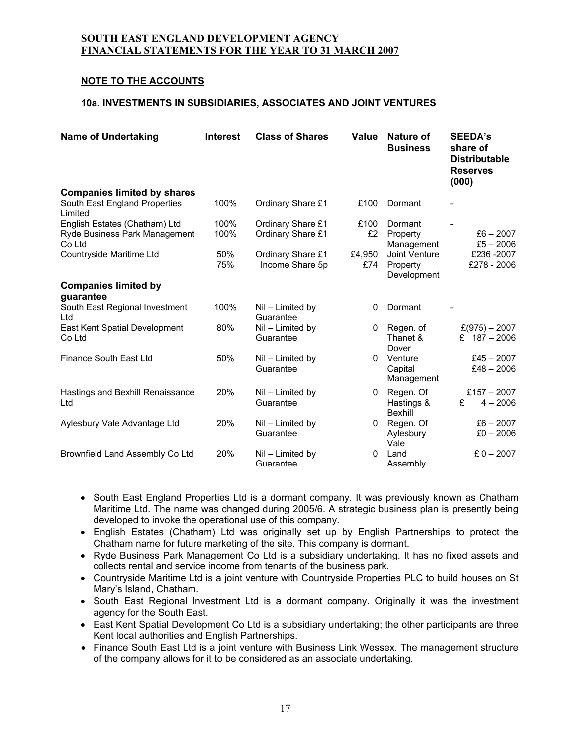# **NOTE TO THE ACCOUNTS**

## **10a. INVESTMENTS IN SUBSIDIARIES, ASSOCIATES AND JOINT VENTURES**

| <b>Name of Undertaking</b>                                                     | <b>Interest</b> | <b>Class of Shares</b>                 | Value         | Nature of<br><b>Business</b>             | <b>SEEDA's</b><br>share of<br><b>Distributable</b><br><b>Reserves</b><br>(000) |
|--------------------------------------------------------------------------------|-----------------|----------------------------------------|---------------|------------------------------------------|--------------------------------------------------------------------------------|
| <b>Companies limited by shares</b><br>South East England Properties<br>Limited | 100%            | Ordinary Share £1                      | £100          | Dormant                                  |                                                                                |
| English Estates (Chatham) Ltd<br>Ryde Business Park Management<br>Co Ltd       | 100%<br>100%    | Ordinary Share £1<br>Ordinary Share £1 | £100<br>£2    | Dormant<br>Property<br>Management        | $£6 - 2007$<br>$£5 - 2006$                                                     |
| Countryside Maritime Ltd                                                       | 50%<br>75%      | Ordinary Share £1<br>Income Share 5p   | £4,950<br>£74 | Joint Venture<br>Property<br>Development | £236-2007<br>£278 - 2006                                                       |
| <b>Companies limited by</b><br>guarantee                                       |                 |                                        |               |                                          |                                                                                |
| South East Regional Investment<br>Ltd                                          | 100%            | Nil – Limited by<br>Guarantee          | 0             | Dormant                                  |                                                                                |
| East Kent Spatial Development<br>Co Ltd                                        | 80%             | Nil - Limited by<br>Guarantee          | $\Omega$      | Regen. of<br>Thanet &<br>Dover           | $£(975) - 2007$<br>£ $187 - 2006$                                              |
| Finance South East Ltd                                                         | 50%             | Nil - Limited by<br>Guarantee          | $\Omega$      | Venture<br>Capital<br>Management         | $£45 - 2007$<br>$£48 - 2006$                                                   |
| Hastings and Bexhill Renaissance<br>Ltd                                        | 20%             | Nil - Limited by<br>Guarantee          | $\Omega$      | Regen. Of<br>Hastings &<br>Bexhill       | £157 $-2007$<br>$4 - 2006$<br>£                                                |
| Aylesbury Vale Advantage Ltd                                                   | 20%             | Nil – Limited by<br>Guarantee          | $\Omega$      | Regen. Of<br>Aylesbury<br>Vale           | $£6 - 2007$<br>$£0 - 2006$                                                     |
| Brownfield Land Assembly Co Ltd                                                | 20%             | Nil - Limited by<br>Guarantee          | 0             | Land<br>Assembly                         | £ $0 - 2007$                                                                   |

- South East England Properties Ltd is a dormant company. It was previously known as Chatham Maritime Ltd. The name was changed during 2005/6. A strategic business plan is presently being developed to invoke the operational use of this company.
- English Estates (Chatham) Ltd was originally set up by English Partnerships to protect the Chatham name for future marketing of the site. This company is dormant.
- Ryde Business Park Management Co Ltd is a subsidiary undertaking. It has no fixed assets and collects rental and service income from tenants of the business park.
- Countryside Maritime Ltd is a joint venture with Countryside Properties PLC to build houses on St Mary's Island, Chatham.
- South East Regional Investment Ltd is a dormant company. Originally it was the investment agency for the South East.
- East Kent Spatial Development Co Ltd is a subsidiary undertaking; the other participants are three Kent local authorities and English Partnerships.
- Finance South East Ltd is a joint venture with Business Link Wessex. The management structure of the company allows for it to be considered as an associate undertaking.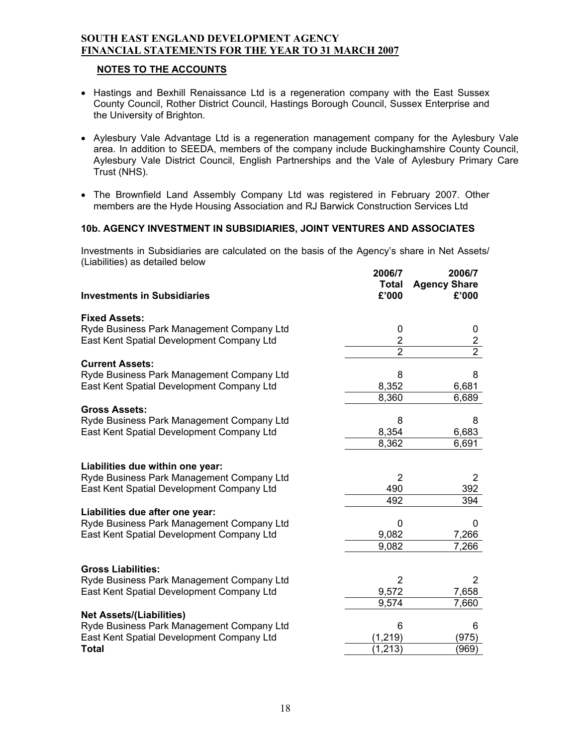## **NOTES TO THE ACCOUNTS**

- Hastings and Bexhill Renaissance Ltd is a regeneration company with the East Sussex County Council, Rother District Council, Hastings Borough Council, Sussex Enterprise and the University of Brighton.
- Aylesbury Vale Advantage Ltd is a regeneration management company for the Aylesbury Vale area. In addition to SEEDA, members of the company include Buckinghamshire County Council, Aylesbury Vale District Council, English Partnerships and the Vale of Aylesbury Primary Care Trust (NHS).
- The Brownfield Land Assembly Company Ltd was registered in February 2007. Other members are the Hyde Housing Association and RJ Barwick Construction Services Ltd

## **10b. AGENCY INVESTMENT IN SUBSIDIARIES, JOINT VENTURES AND ASSOCIATES**

Investments in Subsidiaries are calculated on the basis of the Agency's share in Net Assets/ (Liabilities) as detailed below **2006/7 2006/7**

|                                           | 2006/7         | 2006/7              |
|-------------------------------------------|----------------|---------------------|
|                                           | <b>Total</b>   | <b>Agency Share</b> |
| <b>Investments in Subsidiaries</b>        | £'000          | £'000               |
|                                           |                |                     |
| <b>Fixed Assets:</b>                      |                |                     |
| Ryde Business Park Management Company Ltd | 0              | 0                   |
| East Kent Spatial Development Company Ltd | $\overline{2}$ | $\overline{c}$      |
|                                           | $\overline{2}$ | $\overline{2}$      |
| <b>Current Assets:</b>                    |                |                     |
| Ryde Business Park Management Company Ltd | 8              | 8                   |
| East Kent Spatial Development Company Ltd | 8,352          | 6,681               |
|                                           | 8,360          | 6,689               |
| <b>Gross Assets:</b>                      |                |                     |
| Ryde Business Park Management Company Ltd | 8              | 8                   |
| East Kent Spatial Development Company Ltd | 8,354          | 6,683               |
|                                           | 8,362          | 6,691               |
|                                           |                |                     |
| Liabilities due within one year:          |                |                     |
| Ryde Business Park Management Company Ltd | 2              | 2                   |
| East Kent Spatial Development Company Ltd | 490            | 392                 |
|                                           | 492            | 394                 |
| Liabilities due after one year:           |                |                     |
| Ryde Business Park Management Company Ltd | 0              | 0                   |
| East Kent Spatial Development Company Ltd | 9,082          | 7,266               |
|                                           | 9,082          | 7,266               |
|                                           |                |                     |
| <b>Gross Liabilities:</b>                 |                |                     |
| Ryde Business Park Management Company Ltd | 2              | 2                   |
| East Kent Spatial Development Company Ltd | 9,572          | 7,658               |
|                                           | 9,574          | 7,660               |
| <b>Net Assets/(Liabilities)</b>           |                |                     |
| Ryde Business Park Management Company Ltd | 6              | 6                   |
| East Kent Spatial Development Company Ltd | (1, 219)       | (975)               |
| <b>Total</b>                              | (1, 213)       | (969)               |
|                                           |                |                     |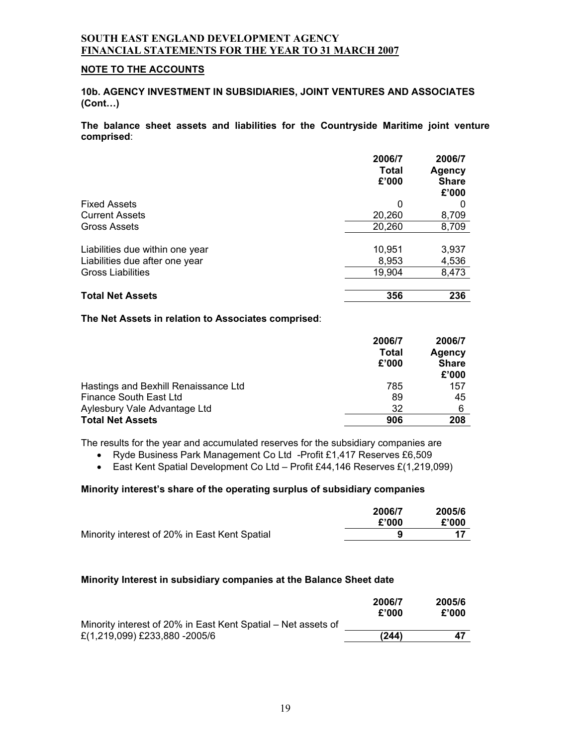#### **NOTE TO THE ACCOUNTS**

**10b. AGENCY INVESTMENT IN SUBSIDIARIES, JOINT VENTURES AND ASSOCIATES (Cont…)** 

**The balance sheet assets and liabilities for the Countryside Maritime joint venture comprised**:

|                                 | 2006/7<br>Total<br>£'000 | 2006/7<br>Agency<br><b>Share</b><br>£'000 |
|---------------------------------|--------------------------|-------------------------------------------|
| <b>Fixed Assets</b>             | 0                        | O                                         |
| <b>Current Assets</b>           | 20,260                   | 8,709                                     |
| <b>Gross Assets</b>             | 20,260                   | 8,709                                     |
| Liabilities due within one year | 10,951                   | 3,937                                     |
| Liabilities due after one year  | 8,953                    | 4,536                                     |
| <b>Gross Liabilities</b>        | 19,904                   | 8,473                                     |
| <b>Total Net Assets</b>         | 356                      | 236                                       |

#### **The Net Assets in relation to Associates comprised**:

|                                      | 2006/7<br>Total<br>£'000 | 2006/7<br><b>Agency</b><br><b>Share</b><br>£'000 |
|--------------------------------------|--------------------------|--------------------------------------------------|
| Hastings and Bexhill Renaissance Ltd | 785                      | 157                                              |
| Finance South East Ltd               | 89                       | 45                                               |
| Aylesbury Vale Advantage Ltd         | 32                       | 6                                                |
| <b>Total Net Assets</b>              | 906                      | 208                                              |

The results for the year and accumulated reserves for the subsidiary companies are

- Ryde Business Park Management Co Ltd -Profit £1,417 Reserves £6,509
- East Kent Spatial Development Co Ltd Profit £44,146 Reserves £(1,219,099)

## **Minority interest's share of the operating surplus of subsidiary companies**

|                                               | 2006/7 | 2005/6 |
|-----------------------------------------------|--------|--------|
|                                               | £'000  | £'000  |
| Minority interest of 20% in East Kent Spatial |        |        |

#### **Minority Interest in subsidiary companies at the Balance Sheet date**

|                                                               | 2006/7<br>£'000 | 2005/6<br>£'000 |
|---------------------------------------------------------------|-----------------|-----------------|
| Minority interest of 20% in East Kent Spatial – Net assets of |                 |                 |
| £(1,219,099) £233,880 -2005/6                                 | (244)           | 47              |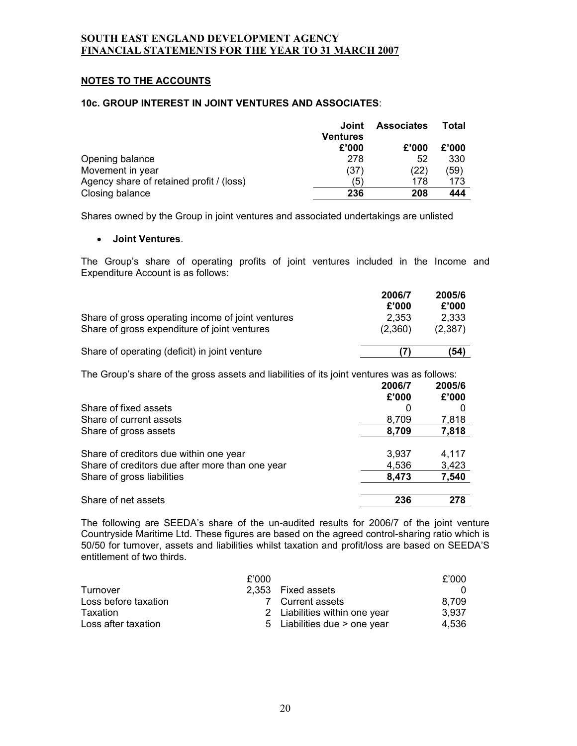## **NOTES TO THE ACCOUNTS**

#### **10c. GROUP INTEREST IN JOINT VENTURES AND ASSOCIATES**:

|                                          | Joint    | <b>Associates</b> | Total |
|------------------------------------------|----------|-------------------|-------|
|                                          | Ventures |                   |       |
|                                          | £'000    | £'000             | £'000 |
| Opening balance                          | 278      | 52                | 330   |
| Movement in year                         | (37)     | (22)              | (59)  |
| Agency share of retained profit / (loss) | (5)      | 178               | 173   |
| Closing balance                          | 236      | 208               | 444   |

Shares owned by the Group in joint ventures and associated undertakings are unlisted

#### • **Joint Ventures**.

The Group's share of operating profits of joint ventures included in the Income and Expenditure Account is as follows:

|                                                                                                   | 2006/7<br>£'000  | 2005/6<br>£'000  |
|---------------------------------------------------------------------------------------------------|------------------|------------------|
| Share of gross operating income of joint ventures<br>Share of gross expenditure of joint ventures | 2.353<br>(2.360) | 2.333<br>(2,387) |
| Share of operating (deficit) in joint venture                                                     |                  | (54)             |

The Group's share of the gross assets and liabilities of its joint ventures was as follows:

|                                                                                           | 2006/7<br>£'000 | 2005/6<br>£'000 |
|-------------------------------------------------------------------------------------------|-----------------|-----------------|
| Share of fixed assets                                                                     | O               |                 |
| Share of current assets                                                                   | 8,709           | 7,818           |
| Share of gross assets                                                                     | 8,709           | 7,818           |
| Share of creditors due within one year<br>Share of creditors due after more than one year | 3,937<br>4,536  | 4,117<br>3,423  |
| Share of gross liabilities                                                                | 8,473           | 7,540           |
| Share of net assets                                                                       | 236             | 278             |

The following are SEEDA's share of the un-audited results for 2006/7 of the joint venture Countryside Maritime Ltd. These figures are based on the agreed control-sharing ratio which is 50/50 for turnover, assets and liabilities whilst taxation and profit/loss are based on SEEDA'S entitlement of two thirds.

|                      | £'000 |                               | £'000 |
|----------------------|-------|-------------------------------|-------|
| Turnover             |       | 2.353 Fixed assets            | 0     |
| Loss before taxation |       | 7 Current assets              | 8.709 |
| Taxation             |       | 2 Liabilities within one year | 3.937 |
| Loss after taxation  |       | 5 Liabilities due > one year  | 4.536 |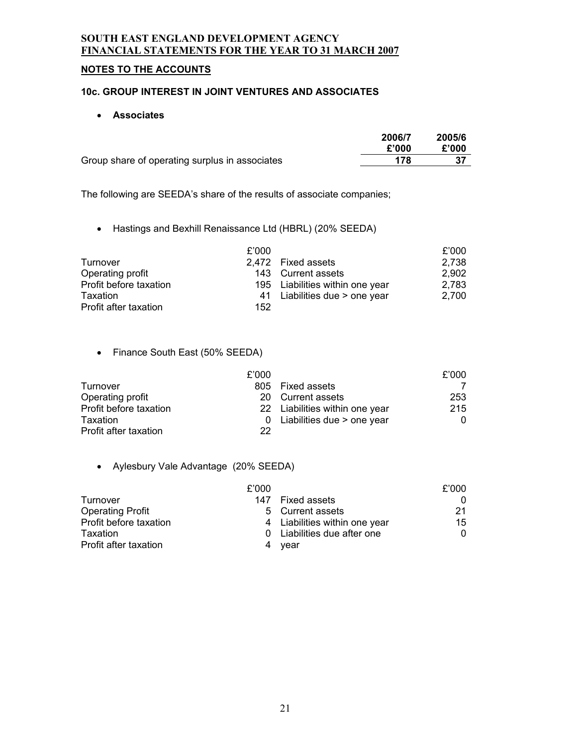# **NOTES TO THE ACCOUNTS**

# **10c. GROUP INTEREST IN JOINT VENTURES AND ASSOCIATES**

## • **Associates**

|                                                | 2006/7 | 2005/6 |
|------------------------------------------------|--------|--------|
|                                                | £'000  | £'000  |
| Group share of operating surplus in associates | 178    |        |

The following are SEEDA's share of the results of associate companies;

• Hastings and Bexhill Renaissance Ltd (HBRL) (20% SEEDA)

|                        | £'000 |                                 | £'000 |
|------------------------|-------|---------------------------------|-------|
| Turnover               |       | 2,472 Fixed assets              | 2,738 |
| Operating profit       |       | 143 Current assets              | 2,902 |
| Profit before taxation |       | 195 Liabilities within one year | 2,783 |
| Taxation               |       | 41 Liabilities due > one year   | 2.700 |
| Profit after taxation  | 152   |                                 |       |

• Finance South East (50% SEEDA)

|                        | £'000 |                                | £'000 |
|------------------------|-------|--------------------------------|-------|
| Turnover               |       | 805 Fixed assets               |       |
| Operating profit       |       | 20 Current assets              | 253   |
| Profit before taxation |       | 22 Liabilities within one year | 215   |
| Taxation               |       | Liabilities due > one year     | 0     |
| Profit after taxation  | 22    |                                |       |

# • Aylesbury Vale Advantage (20% SEEDA)

|                         | £'000 |                               | £'000 |
|-------------------------|-------|-------------------------------|-------|
| Turnover                | 147   | Fixed assets                  | 0     |
| <b>Operating Profit</b> |       | 5 Current assets              | 21    |
| Profit before taxation  |       | 4 Liabilities within one year | 15    |
| Taxation                |       | 0 Liabilities due after one   | 0     |
| Profit after taxation   | 4     | vear                          |       |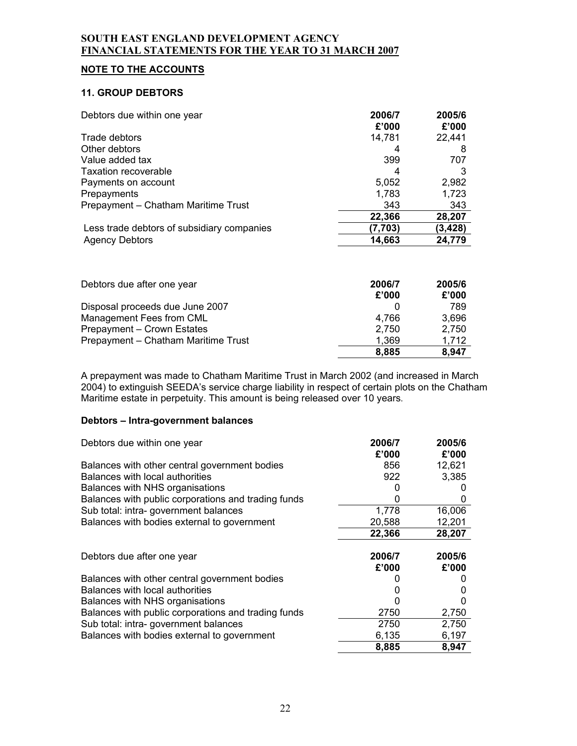# **NOTE TO THE ACCOUNTS**

#### **11. GROUP DEBTORS**

| Debtors due within one year                | 2006/7<br>£'000 | 2005/6<br>£'000 |
|--------------------------------------------|-----------------|-----------------|
| Trade debtors                              | 14,781          | 22,441          |
| Other debtors                              | 4               | 8               |
| Value added tax                            | 399             | 707             |
| Taxation recoverable                       | 4               |                 |
| Payments on account                        | 5,052           | 2,982           |
| Prepayments                                | 1,783           | 1,723           |
| Prepayment - Chatham Maritime Trust        | 343             | 343             |
|                                            | 22,366          | 28,207          |
| Less trade debtors of subsidiary companies | (7, 703)        | (3, 428)        |
| <b>Agency Debtors</b>                      | 14,663          | 24,779          |

| Debtors due after one year          | 2006/7<br>£'000 | 2005/6<br>£'000 |
|-------------------------------------|-----------------|-----------------|
| Disposal proceeds due June 2007     |                 | 789             |
| Management Fees from CML            | 4.766           | 3,696           |
| Prepayment - Crown Estates          | 2,750           | 2.750           |
| Prepayment - Chatham Maritime Trust | 1.369           | 1,712           |
|                                     | 8,885           | 8,947           |

A prepayment was made to Chatham Maritime Trust in March 2002 (and increased in March 2004) to extinguish SEEDA's service charge liability in respect of certain plots on the Chatham Maritime estate in perpetuity. This amount is being released over 10 years.

# **Debtors – Intra-government balances**

| Debtors due within one year                         | 2006/7<br>£'000 | 2005/6<br>£'000 |
|-----------------------------------------------------|-----------------|-----------------|
| Balances with other central government bodies       | 856             | 12,621          |
| Balances with local authorities                     | 922             | 3,385           |
| Balances with NHS organisations                     |                 |                 |
| Balances with public corporations and trading funds | O               | O               |
| Sub total: intra-government balances                | 1,778           | 16,006          |
| Balances with bodies external to government         | 20,588          | 12,201          |
|                                                     | 22,366          | 28,207          |
| Debtors due after one year                          | 2006/7<br>£'000 | 2005/6<br>£'000 |
| Balances with other central government bodies       |                 |                 |
| Balances with local authorities                     |                 |                 |
| Balances with NHS organisations                     |                 |                 |
| Balances with public corporations and trading funds | 2750            | 2,750           |
| Sub total: intra-government balances                | 2750            | 2,750           |
| Balances with bodies external to government         | 6,135           | 6,197           |
|                                                     | 8,885           | 8,947           |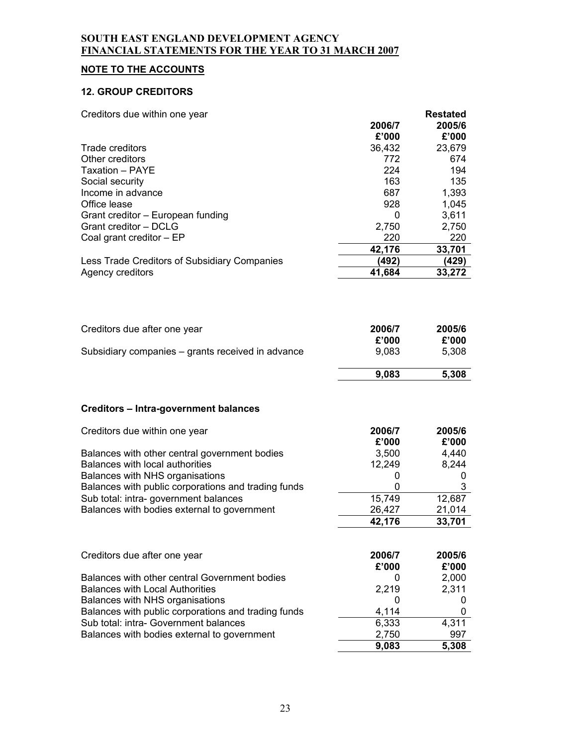# **NOTE TO THE ACCOUNTS**

# **12. GROUP CREDITORS**

| 2006/7<br>2005/6<br>£'000<br>£'000<br>Trade creditors<br>36,432<br>23,679<br>Other creditors<br>772<br>674<br>224<br>Taxation - PAYE<br>194<br>163<br>135<br>Social security<br>687<br>Income in advance<br>1,393<br>Office lease<br>928<br>1,045<br>Grant creditor - European funding<br>3,611<br>0<br>Grant creditor - DCLG<br>2,750<br>2,750<br>Coal grant creditor - EP<br>220<br>220<br>42,176<br>33,701<br>(492)<br>(429)<br>Less Trade Creditors of Subsidiary Companies<br>Agency creditors<br>41,684<br>33,272<br>2006/7<br>2005/6<br>£'000<br>£'000<br>9,083<br>5,308<br>9,083<br>5,308<br>Creditors due within one year<br>2006/7<br>2005/6<br>£'000<br>£'000<br>Balances with other central government bodies<br>3,500<br>4,440<br>Balances with local authorities<br>12,249<br>8,244<br>Balances with NHS organisations<br>0<br>0<br>Balances with public corporations and trading funds<br>3<br>0<br>Sub total: intra-government balances<br>12,687<br>15,749<br>Balances with bodies external to government<br>26,427<br>21,014<br>42,176<br>33,701<br>Creditors due after one year<br>2006/7<br>2005/6<br>£'000<br>£'000<br>Balances with other central Government bodies<br>2,000<br>0<br><b>Balances with Local Authorities</b><br>2,219<br>2,311<br>Balances with NHS organisations<br>0<br>0<br>4,114<br>Balances with public corporations and trading funds<br>0<br>Sub total: intra- Government balances<br>6,333<br>4,311<br>2,750<br>997<br>Balances with bodies external to government<br>9,083<br>5,308 | Creditors due within one year                     | <b>Restated</b> |
|-----------------------------------------------------------------------------------------------------------------------------------------------------------------------------------------------------------------------------------------------------------------------------------------------------------------------------------------------------------------------------------------------------------------------------------------------------------------------------------------------------------------------------------------------------------------------------------------------------------------------------------------------------------------------------------------------------------------------------------------------------------------------------------------------------------------------------------------------------------------------------------------------------------------------------------------------------------------------------------------------------------------------------------------------------------------------------------------------------------------------------------------------------------------------------------------------------------------------------------------------------------------------------------------------------------------------------------------------------------------------------------------------------------------------------------------------------------------------------------------------------------------------------------|---------------------------------------------------|-----------------|
|                                                                                                                                                                                                                                                                                                                                                                                                                                                                                                                                                                                                                                                                                                                                                                                                                                                                                                                                                                                                                                                                                                                                                                                                                                                                                                                                                                                                                                                                                                                                   |                                                   |                 |
|                                                                                                                                                                                                                                                                                                                                                                                                                                                                                                                                                                                                                                                                                                                                                                                                                                                                                                                                                                                                                                                                                                                                                                                                                                                                                                                                                                                                                                                                                                                                   |                                                   |                 |
|                                                                                                                                                                                                                                                                                                                                                                                                                                                                                                                                                                                                                                                                                                                                                                                                                                                                                                                                                                                                                                                                                                                                                                                                                                                                                                                                                                                                                                                                                                                                   |                                                   |                 |
|                                                                                                                                                                                                                                                                                                                                                                                                                                                                                                                                                                                                                                                                                                                                                                                                                                                                                                                                                                                                                                                                                                                                                                                                                                                                                                                                                                                                                                                                                                                                   |                                                   |                 |
|                                                                                                                                                                                                                                                                                                                                                                                                                                                                                                                                                                                                                                                                                                                                                                                                                                                                                                                                                                                                                                                                                                                                                                                                                                                                                                                                                                                                                                                                                                                                   |                                                   |                 |
|                                                                                                                                                                                                                                                                                                                                                                                                                                                                                                                                                                                                                                                                                                                                                                                                                                                                                                                                                                                                                                                                                                                                                                                                                                                                                                                                                                                                                                                                                                                                   |                                                   |                 |
|                                                                                                                                                                                                                                                                                                                                                                                                                                                                                                                                                                                                                                                                                                                                                                                                                                                                                                                                                                                                                                                                                                                                                                                                                                                                                                                                                                                                                                                                                                                                   |                                                   |                 |
|                                                                                                                                                                                                                                                                                                                                                                                                                                                                                                                                                                                                                                                                                                                                                                                                                                                                                                                                                                                                                                                                                                                                                                                                                                                                                                                                                                                                                                                                                                                                   |                                                   |                 |
|                                                                                                                                                                                                                                                                                                                                                                                                                                                                                                                                                                                                                                                                                                                                                                                                                                                                                                                                                                                                                                                                                                                                                                                                                                                                                                                                                                                                                                                                                                                                   |                                                   |                 |
|                                                                                                                                                                                                                                                                                                                                                                                                                                                                                                                                                                                                                                                                                                                                                                                                                                                                                                                                                                                                                                                                                                                                                                                                                                                                                                                                                                                                                                                                                                                                   |                                                   |                 |
|                                                                                                                                                                                                                                                                                                                                                                                                                                                                                                                                                                                                                                                                                                                                                                                                                                                                                                                                                                                                                                                                                                                                                                                                                                                                                                                                                                                                                                                                                                                                   |                                                   |                 |
|                                                                                                                                                                                                                                                                                                                                                                                                                                                                                                                                                                                                                                                                                                                                                                                                                                                                                                                                                                                                                                                                                                                                                                                                                                                                                                                                                                                                                                                                                                                                   |                                                   |                 |
|                                                                                                                                                                                                                                                                                                                                                                                                                                                                                                                                                                                                                                                                                                                                                                                                                                                                                                                                                                                                                                                                                                                                                                                                                                                                                                                                                                                                                                                                                                                                   |                                                   |                 |
|                                                                                                                                                                                                                                                                                                                                                                                                                                                                                                                                                                                                                                                                                                                                                                                                                                                                                                                                                                                                                                                                                                                                                                                                                                                                                                                                                                                                                                                                                                                                   |                                                   |                 |
|                                                                                                                                                                                                                                                                                                                                                                                                                                                                                                                                                                                                                                                                                                                                                                                                                                                                                                                                                                                                                                                                                                                                                                                                                                                                                                                                                                                                                                                                                                                                   |                                                   |                 |
|                                                                                                                                                                                                                                                                                                                                                                                                                                                                                                                                                                                                                                                                                                                                                                                                                                                                                                                                                                                                                                                                                                                                                                                                                                                                                                                                                                                                                                                                                                                                   | Creditors due after one year                      |                 |
|                                                                                                                                                                                                                                                                                                                                                                                                                                                                                                                                                                                                                                                                                                                                                                                                                                                                                                                                                                                                                                                                                                                                                                                                                                                                                                                                                                                                                                                                                                                                   |                                                   |                 |
|                                                                                                                                                                                                                                                                                                                                                                                                                                                                                                                                                                                                                                                                                                                                                                                                                                                                                                                                                                                                                                                                                                                                                                                                                                                                                                                                                                                                                                                                                                                                   | Subsidiary companies – grants received in advance |                 |
|                                                                                                                                                                                                                                                                                                                                                                                                                                                                                                                                                                                                                                                                                                                                                                                                                                                                                                                                                                                                                                                                                                                                                                                                                                                                                                                                                                                                                                                                                                                                   |                                                   |                 |
|                                                                                                                                                                                                                                                                                                                                                                                                                                                                                                                                                                                                                                                                                                                                                                                                                                                                                                                                                                                                                                                                                                                                                                                                                                                                                                                                                                                                                                                                                                                                   | Creditors - Intra-government balances             |                 |
|                                                                                                                                                                                                                                                                                                                                                                                                                                                                                                                                                                                                                                                                                                                                                                                                                                                                                                                                                                                                                                                                                                                                                                                                                                                                                                                                                                                                                                                                                                                                   |                                                   |                 |
|                                                                                                                                                                                                                                                                                                                                                                                                                                                                                                                                                                                                                                                                                                                                                                                                                                                                                                                                                                                                                                                                                                                                                                                                                                                                                                                                                                                                                                                                                                                                   |                                                   |                 |
|                                                                                                                                                                                                                                                                                                                                                                                                                                                                                                                                                                                                                                                                                                                                                                                                                                                                                                                                                                                                                                                                                                                                                                                                                                                                                                                                                                                                                                                                                                                                   |                                                   |                 |
|                                                                                                                                                                                                                                                                                                                                                                                                                                                                                                                                                                                                                                                                                                                                                                                                                                                                                                                                                                                                                                                                                                                                                                                                                                                                                                                                                                                                                                                                                                                                   |                                                   |                 |
|                                                                                                                                                                                                                                                                                                                                                                                                                                                                                                                                                                                                                                                                                                                                                                                                                                                                                                                                                                                                                                                                                                                                                                                                                                                                                                                                                                                                                                                                                                                                   |                                                   |                 |
|                                                                                                                                                                                                                                                                                                                                                                                                                                                                                                                                                                                                                                                                                                                                                                                                                                                                                                                                                                                                                                                                                                                                                                                                                                                                                                                                                                                                                                                                                                                                   |                                                   |                 |
|                                                                                                                                                                                                                                                                                                                                                                                                                                                                                                                                                                                                                                                                                                                                                                                                                                                                                                                                                                                                                                                                                                                                                                                                                                                                                                                                                                                                                                                                                                                                   |                                                   |                 |
|                                                                                                                                                                                                                                                                                                                                                                                                                                                                                                                                                                                                                                                                                                                                                                                                                                                                                                                                                                                                                                                                                                                                                                                                                                                                                                                                                                                                                                                                                                                                   |                                                   |                 |
|                                                                                                                                                                                                                                                                                                                                                                                                                                                                                                                                                                                                                                                                                                                                                                                                                                                                                                                                                                                                                                                                                                                                                                                                                                                                                                                                                                                                                                                                                                                                   |                                                   |                 |
|                                                                                                                                                                                                                                                                                                                                                                                                                                                                                                                                                                                                                                                                                                                                                                                                                                                                                                                                                                                                                                                                                                                                                                                                                                                                                                                                                                                                                                                                                                                                   |                                                   |                 |
|                                                                                                                                                                                                                                                                                                                                                                                                                                                                                                                                                                                                                                                                                                                                                                                                                                                                                                                                                                                                                                                                                                                                                                                                                                                                                                                                                                                                                                                                                                                                   |                                                   |                 |
|                                                                                                                                                                                                                                                                                                                                                                                                                                                                                                                                                                                                                                                                                                                                                                                                                                                                                                                                                                                                                                                                                                                                                                                                                                                                                                                                                                                                                                                                                                                                   |                                                   |                 |
|                                                                                                                                                                                                                                                                                                                                                                                                                                                                                                                                                                                                                                                                                                                                                                                                                                                                                                                                                                                                                                                                                                                                                                                                                                                                                                                                                                                                                                                                                                                                   |                                                   |                 |
|                                                                                                                                                                                                                                                                                                                                                                                                                                                                                                                                                                                                                                                                                                                                                                                                                                                                                                                                                                                                                                                                                                                                                                                                                                                                                                                                                                                                                                                                                                                                   |                                                   |                 |
|                                                                                                                                                                                                                                                                                                                                                                                                                                                                                                                                                                                                                                                                                                                                                                                                                                                                                                                                                                                                                                                                                                                                                                                                                                                                                                                                                                                                                                                                                                                                   |                                                   |                 |
|                                                                                                                                                                                                                                                                                                                                                                                                                                                                                                                                                                                                                                                                                                                                                                                                                                                                                                                                                                                                                                                                                                                                                                                                                                                                                                                                                                                                                                                                                                                                   |                                                   |                 |
|                                                                                                                                                                                                                                                                                                                                                                                                                                                                                                                                                                                                                                                                                                                                                                                                                                                                                                                                                                                                                                                                                                                                                                                                                                                                                                                                                                                                                                                                                                                                   |                                                   |                 |
|                                                                                                                                                                                                                                                                                                                                                                                                                                                                                                                                                                                                                                                                                                                                                                                                                                                                                                                                                                                                                                                                                                                                                                                                                                                                                                                                                                                                                                                                                                                                   |                                                   |                 |
|                                                                                                                                                                                                                                                                                                                                                                                                                                                                                                                                                                                                                                                                                                                                                                                                                                                                                                                                                                                                                                                                                                                                                                                                                                                                                                                                                                                                                                                                                                                                   |                                                   |                 |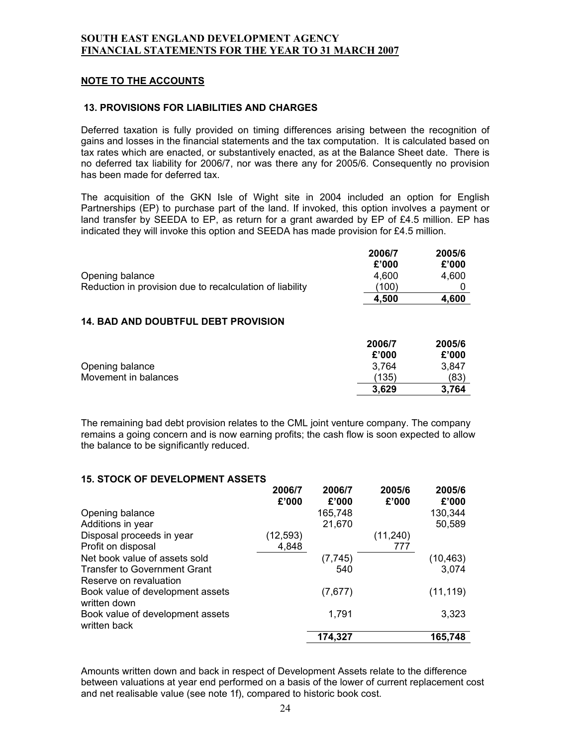### **NOTE TO THE ACCOUNTS**

#### **13. PROVISIONS FOR LIABILITIES AND CHARGES**

Deferred taxation is fully provided on timing differences arising between the recognition of gains and losses in the financial statements and the tax computation. It is calculated based on tax rates which are enacted, or substantively enacted, as at the Balance Sheet date. There is no deferred tax liability for 2006/7, nor was there any for 2005/6. Consequently no provision has been made for deferred tax.

The acquisition of the GKN Isle of Wight site in 2004 included an option for English Partnerships (EP) to purchase part of the land. If invoked, this option involves a payment or land transfer by SEEDA to EP, as return for a grant awarded by EP of £4.5 million. EP has indicated they will invoke this option and SEEDA has made provision for £4.5 million.

|                                                          | 2006/7 | 2005/6 |
|----------------------------------------------------------|--------|--------|
|                                                          | £'000  | £'000  |
| Opening balance                                          | 4.600  | 4.600  |
| Reduction in provision due to recalculation of liability | (100)  |        |
|                                                          | 4.500  | 4.600  |

#### **14. BAD AND DOUBTFUL DEBT PROVISION**

|                      | 2006/7 | 2005/6 |
|----------------------|--------|--------|
|                      | £'000  | £'000  |
| Opening balance      | 3,764  | 3,847  |
| Movement in balances | (135)  | (83)   |
|                      | 3,629  | 3,764  |

The remaining bad debt provision relates to the CML joint venture company. The company remains a going concern and is now earning profits; the cash flow is soon expected to allow the balance to be significantly reduced.

#### **15. STOCK OF DEVELOPMENT ASSETS**

|                                                  | 2006/7<br>£'000 | 2006/7<br>£'000 | 2005/6<br>£'000 | 2005/6<br>£'000 |
|--------------------------------------------------|-----------------|-----------------|-----------------|-----------------|
| Opening balance                                  |                 | 165,748         |                 | 130,344         |
| Additions in year                                |                 | 21,670          |                 | 50,589          |
| Disposal proceeds in year                        | (12, 593)       |                 | (11, 240)       |                 |
| Profit on disposal                               | 4,848           |                 | 777             |                 |
| Net book value of assets sold                    |                 | (7, 745)        |                 | (10, 463)       |
| Transfer to Government Grant                     |                 | 540             |                 | 3,074           |
| Reserve on revaluation                           |                 |                 |                 |                 |
| Book value of development assets<br>written down |                 | (7,677)         |                 | (11, 119)       |
| Book value of development assets<br>written back |                 | 1,791           |                 | 3,323           |
|                                                  |                 | 174.327         |                 | 165,748         |

Amounts written down and back in respect of Development Assets relate to the difference between valuations at year end performed on a basis of the lower of current replacement cost and net realisable value (see note 1f), compared to historic book cost.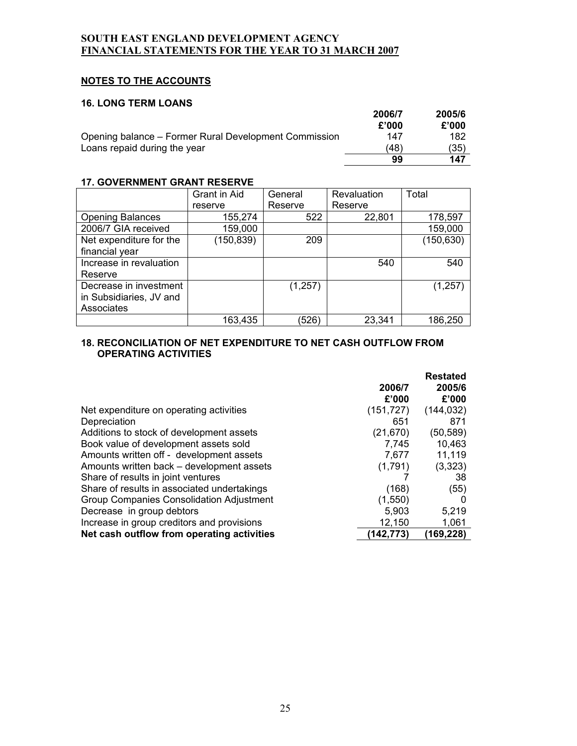# **NOTES TO THE ACCOUNTS**

#### **16. LONG TERM LOANS**

|                                                       | 2006/7 | 2005/6 |
|-------------------------------------------------------|--------|--------|
|                                                       | £'000  | £'000  |
| Opening balance – Former Rural Development Commission | 147    | 182    |
| Loans repaid during the year                          | (48)   | (35)   |
|                                                       | 99     | 147    |

## **17. GOVERNMENT GRANT RESERVE**

|                         | <b>Grant in Aid</b> | General  | Revaluation | Total      |
|-------------------------|---------------------|----------|-------------|------------|
|                         | reserve             | Reserve  | Reserve     |            |
| <b>Opening Balances</b> | 155,274             | 522      | 22,801      | 178,597    |
| 2006/7 GIA received     | 159,000             |          |             | 159,000    |
| Net expenditure for the | (150, 839)          | 209      |             | (150, 630) |
| financial year          |                     |          |             |            |
| Increase in revaluation |                     |          | 540         | 540        |
| Reserve                 |                     |          |             |            |
| Decrease in investment  |                     | (1, 257) |             | (1, 257)   |
| in Subsidiaries, JV and |                     |          |             |            |
| Associates              |                     |          |             |            |
|                         | 163,435             | (526)    | 23,341      | 186,250    |

# **18. RECONCILIATION OF NET EXPENDITURE TO NET CASH OUTFLOW FROM OPERATING ACTIVITIES**

|                                             |            | <b>Restated</b> |
|---------------------------------------------|------------|-----------------|
|                                             | 2006/7     | 2005/6          |
|                                             | £'000      | £'000           |
| Net expenditure on operating activities     | (151, 727) | (144, 032)      |
| Depreciation                                | 651        | 871             |
| Additions to stock of development assets    | (21, 670)  | (50,589)        |
| Book value of development assets sold       | 7,745      | 10,463          |
| Amounts written off - development assets    | 7,677      | 11,119          |
| Amounts written back – development assets   | (1,791)    | (3,323)         |
| Share of results in joint ventures          |            | 38              |
| Share of results in associated undertakings | (168)      | (55)            |
| Group Companies Consolidation Adjustment    | (1,550)    |                 |
| Decrease in group debtors                   | 5,903      | 5,219           |
| Increase in group creditors and provisions  | 12,150     | 1,061           |
| Net cash outflow from operating activities  | 142.773)   | 169,228         |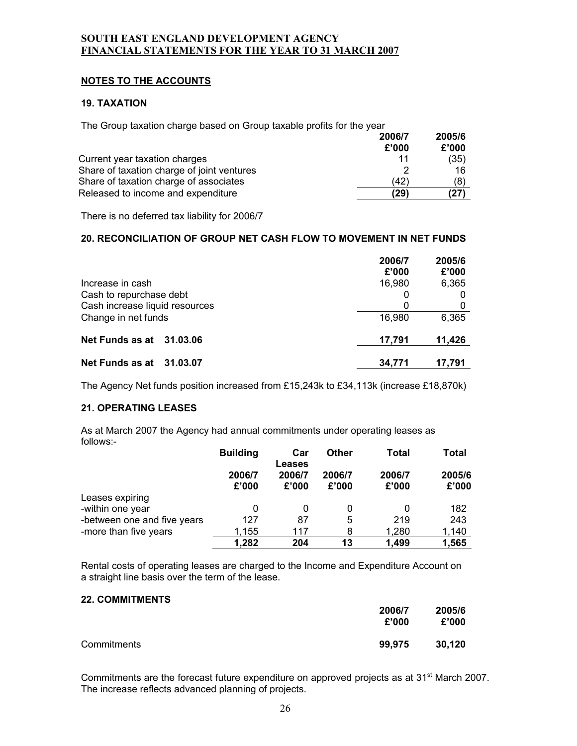# **NOTES TO THE ACCOUNTS**

## **19. TAXATION**

The Group taxation charge based on Group taxable profits for the year

|                                            | 2006/7 | 2005/6 |
|--------------------------------------------|--------|--------|
|                                            | £'000  | £'000  |
| Current year taxation charges              | 11     | (35)   |
| Share of taxation charge of joint ventures |        | 16     |
| Share of taxation charge of associates     | (42)   | (8)    |
| Released to income and expenditure         | (29)   | '27    |

There is no deferred tax liability for 2006/7

#### **20. RECONCILIATION OF GROUP NET CASH FLOW TO MOVEMENT IN NET FUNDS**

|                                | 2006/7<br>£'000 | 2005/6<br>£'000 |
|--------------------------------|-----------------|-----------------|
| Increase in cash               | 16,980          | 6,365           |
| Cash to repurchase debt        | 0               |                 |
| Cash increase liquid resources | 0               |                 |
| Change in net funds            | 16,980          | 6,365           |
| Net Funds as at 31.03.06       | 17,791          | 11,426          |
| Net Funds as at 31.03.07       | 34.771          | 17.791          |

The Agency Net funds position increased from £15,243k to £34,113k (increase £18,870k)

#### **21. OPERATING LEASES**

As at March 2007 the Agency had annual commitments under operating leases as follows:-

|                             | <b>Building</b> | Car<br>Leases | Other  | Total  | <b>Total</b> |
|-----------------------------|-----------------|---------------|--------|--------|--------------|
|                             | 2006/7          | 2006/7        | 2006/7 | 2006/7 | 2005/6       |
|                             | £'000           | £'000         | £'000  | £'000  | £'000        |
| Leases expiring             |                 |               |        |        |              |
| -within one year            | 0               |               | O      | 0      | 182          |
| -between one and five years | 127             | 87            | 5      | 219    | 243          |
| -more than five years       | 1,155           | 117           | 8      | 1,280  | 1,140        |
|                             | 1,282           | 204           | 13     | 1,499  | 1,565        |

Rental costs of operating leases are charged to the Income and Expenditure Account on a straight line basis over the term of the lease.

#### **22. COMMITMENTS**

|             | 2006/7<br>£'000 | 2005/6<br>£'000 |
|-------------|-----------------|-----------------|
| Commitments | 99,975          | 30.120          |

Commitments are the forecast future expenditure on approved projects as at 31<sup>st</sup> March 2007. The increase reflects advanced planning of projects.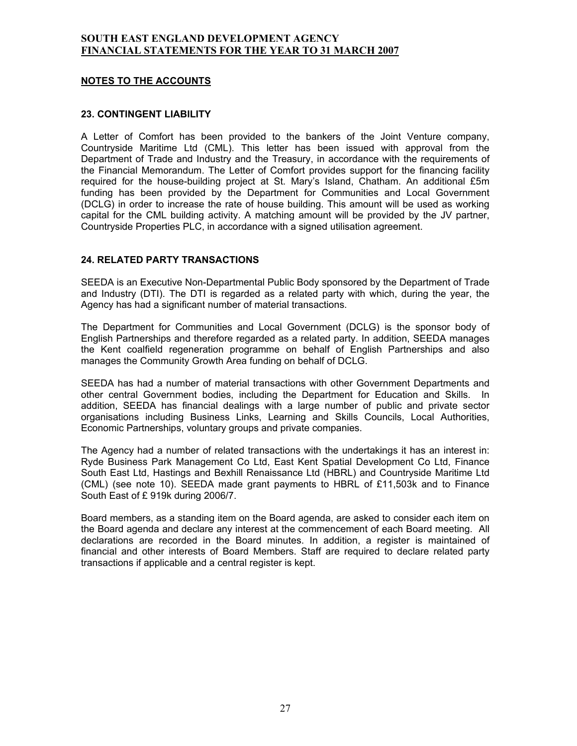## **NOTES TO THE ACCOUNTS**

#### **23. CONTINGENT LIABILITY**

A Letter of Comfort has been provided to the bankers of the Joint Venture company, Countryside Maritime Ltd (CML). This letter has been issued with approval from the Department of Trade and Industry and the Treasury, in accordance with the requirements of the Financial Memorandum. The Letter of Comfort provides support for the financing facility required for the house-building project at St. Mary's Island, Chatham. An additional £5m funding has been provided by the Department for Communities and Local Government (DCLG) in order to increase the rate of house building. This amount will be used as working capital for the CML building activity. A matching amount will be provided by the JV partner, Countryside Properties PLC, in accordance with a signed utilisation agreement.

#### **24. RELATED PARTY TRANSACTIONS**

SEEDA is an Executive Non-Departmental Public Body sponsored by the Department of Trade and Industry (DTI). The DTI is regarded as a related party with which, during the year, the Agency has had a significant number of material transactions.

The Department for Communities and Local Government (DCLG) is the sponsor body of English Partnerships and therefore regarded as a related party. In addition, SEEDA manages the Kent coalfield regeneration programme on behalf of English Partnerships and also manages the Community Growth Area funding on behalf of DCLG.

SEEDA has had a number of material transactions with other Government Departments and other central Government bodies, including the Department for Education and Skills. In addition, SEEDA has financial dealings with a large number of public and private sector organisations including Business Links, Learning and Skills Councils, Local Authorities, Economic Partnerships, voluntary groups and private companies.

The Agency had a number of related transactions with the undertakings it has an interest in: Ryde Business Park Management Co Ltd, East Kent Spatial Development Co Ltd, Finance South East Ltd, Hastings and Bexhill Renaissance Ltd (HBRL) and Countryside Maritime Ltd (CML) (see note 10). SEEDA made grant payments to HBRL of £11,503k and to Finance South East of £ 919k during 2006/7.

Board members, as a standing item on the Board agenda, are asked to consider each item on the Board agenda and declare any interest at the commencement of each Board meeting. All declarations are recorded in the Board minutes. In addition, a register is maintained of financial and other interests of Board Members. Staff are required to declare related party transactions if applicable and a central register is kept.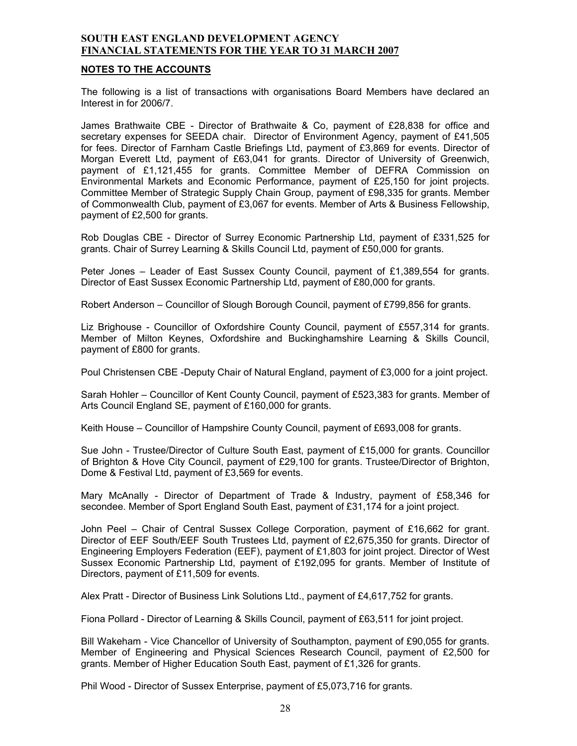#### **NOTES TO THE ACCOUNTS**

The following is a list of transactions with organisations Board Members have declared an Interest in for 2006/7.

James Brathwaite CBE - Director of Brathwaite & Co, payment of £28,838 for office and secretary expenses for SEEDA chair. Director of Environment Agency, payment of £41,505 for fees. Director of Farnham Castle Briefings Ltd, payment of £3,869 for events. Director of Morgan Everett Ltd, payment of £63,041 for grants. Director of University of Greenwich, payment of £1,121,455 for grants. Committee Member of DEFRA Commission on Environmental Markets and Economic Performance, payment of £25,150 for joint projects. Committee Member of Strategic Supply Chain Group, payment of £98,335 for grants. Member of Commonwealth Club, payment of £3,067 for events. Member of Arts & Business Fellowship, payment of £2,500 for grants.

Rob Douglas CBE - Director of Surrey Economic Partnership Ltd, payment of £331,525 for grants. Chair of Surrey Learning & Skills Council Ltd, payment of £50,000 for grants.

Peter Jones – Leader of East Sussex County Council, payment of £1,389,554 for grants. Director of East Sussex Economic Partnership Ltd, payment of £80,000 for grants.

Robert Anderson – Councillor of Slough Borough Council, payment of £799,856 for grants.

Liz Brighouse - Councillor of Oxfordshire County Council, payment of £557,314 for grants. Member of Milton Keynes, Oxfordshire and Buckinghamshire Learning & Skills Council, payment of £800 for grants.

Poul Christensen CBE -Deputy Chair of Natural England, payment of £3,000 for a joint project.

Sarah Hohler – Councillor of Kent County Council, payment of £523,383 for grants. Member of Arts Council England SE, payment of £160,000 for grants.

Keith House – Councillor of Hampshire County Council, payment of £693,008 for grants.

Sue John - Trustee/Director of Culture South East, payment of £15,000 for grants. Councillor of Brighton & Hove City Council, payment of £29,100 for grants. Trustee/Director of Brighton, Dome & Festival Ltd, payment of £3,569 for events.

Mary McAnally - Director of Department of Trade & Industry, payment of £58,346 for secondee. Member of Sport England South East, payment of £31,174 for a joint project.

John Peel – Chair of Central Sussex College Corporation, payment of £16,662 for grant. Director of EEF South/EEF South Trustees Ltd, payment of £2,675,350 for grants. Director of Engineering Employers Federation (EEF), payment of £1,803 for joint project. Director of West Sussex Economic Partnership Ltd, payment of £192,095 for grants. Member of Institute of Directors, payment of £11,509 for events.

Alex Pratt - Director of Business Link Solutions Ltd., payment of £4,617,752 for grants.

Fiona Pollard - Director of Learning & Skills Council, payment of £63,511 for joint project.

Bill Wakeham - Vice Chancellor of University of Southampton, payment of £90,055 for grants. Member of Engineering and Physical Sciences Research Council, payment of £2,500 for grants. Member of Higher Education South East, payment of £1,326 for grants.

Phil Wood - Director of Sussex Enterprise, payment of £5,073,716 for grants.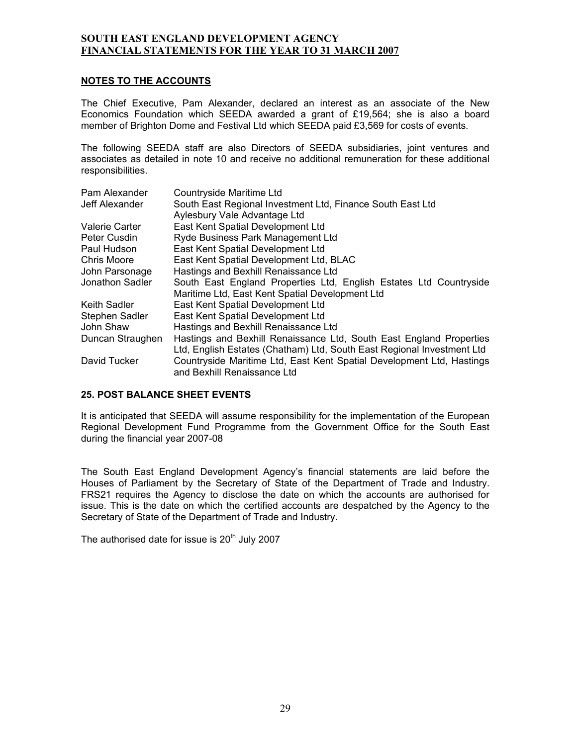#### **NOTES TO THE ACCOUNTS**

The Chief Executive, Pam Alexander, declared an interest as an associate of the New Economics Foundation which SEEDA awarded a grant of £19,564; she is also a board member of Brighton Dome and Festival Ltd which SEEDA paid £3,569 for costs of events.

The following SEEDA staff are also Directors of SEEDA subsidiaries, joint ventures and associates as detailed in note 10 and receive no additional remuneration for these additional responsibilities.

| Pam Alexander    | Countryside Maritime Ltd                                                                             |
|------------------|------------------------------------------------------------------------------------------------------|
| Jeff Alexander   | South East Regional Investment Ltd, Finance South East Ltd                                           |
|                  | Aylesbury Vale Advantage Ltd                                                                         |
| Valerie Carter   | East Kent Spatial Development Ltd                                                                    |
| Peter Cusdin     | Ryde Business Park Management Ltd                                                                    |
| Paul Hudson      | East Kent Spatial Development Ltd                                                                    |
| Chris Moore      | East Kent Spatial Development Ltd, BLAC                                                              |
| John Parsonage   | Hastings and Bexhill Renaissance Ltd                                                                 |
| Jonathon Sadler  | South East England Properties Ltd, English Estates Ltd Countryside                                   |
|                  | Maritime Ltd, East Kent Spatial Development Ltd                                                      |
| Keith Sadler     | East Kent Spatial Development Ltd                                                                    |
| Stephen Sadler   | East Kent Spatial Development Ltd                                                                    |
| John Shaw        | Hastings and Bexhill Renaissance Ltd                                                                 |
| Duncan Straughen | Hastings and Bexhill Renaissance Ltd, South East England Properties                                  |
|                  | Ltd, English Estates (Chatham) Ltd, South East Regional Investment Ltd                               |
| David Tucker     | Countryside Maritime Ltd, East Kent Spatial Development Ltd, Hastings<br>and Bexhill Renaissance Ltd |

#### **25. POST BALANCE SHEET EVENTS**

It is anticipated that SEEDA will assume responsibility for the implementation of the European Regional Development Fund Programme from the Government Office for the South East during the financial year 2007-08

The South East England Development Agency's financial statements are laid before the Houses of Parliament by the Secretary of State of the Department of Trade and Industry. FRS21 requires the Agency to disclose the date on which the accounts are authorised for issue. This is the date on which the certified accounts are despatched by the Agency to the Secretary of State of the Department of Trade and Industry.

The authorised date for issue is  $20<sup>th</sup>$  July 2007